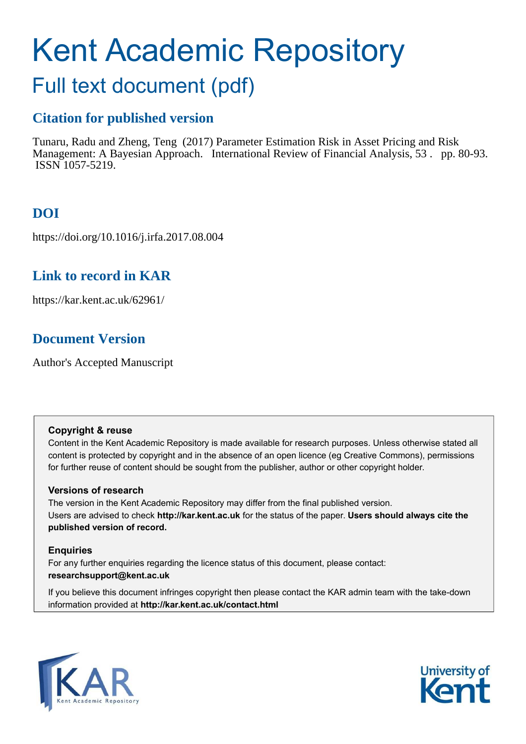# Kent Academic Repository

# Full text document (pdf)

# **Citation for published version**

Tunaru, Radu and Zheng, Teng (2017) Parameter Estimation Risk in Asset Pricing and Risk Management: A Bayesian Approach. International Review of Financial Analysis, 53 . pp. 80-93. ISSN 1057-5219.

# **DOI**

https://doi.org/10.1016/j.irfa.2017.08.004

# **Link to record in KAR**

https://kar.kent.ac.uk/62961/

# **Document Version**

Author's Accepted Manuscript

### **Copyright & reuse**

Content in the Kent Academic Repository is made available for research purposes. Unless otherwise stated all content is protected by copyright and in the absence of an open licence (eg Creative Commons), permissions for further reuse of content should be sought from the publisher, author or other copyright holder.

### **Versions of research**

The version in the Kent Academic Repository may differ from the final published version. Users are advised to check **http://kar.kent.ac.uk** for the status of the paper. **Users should always cite the published version of record.**

### **Enquiries**

For any further enquiries regarding the licence status of this document, please contact: **researchsupport@kent.ac.uk**

If you believe this document infringes copyright then please contact the KAR admin team with the take-down information provided at **http://kar.kent.ac.uk/contact.html**



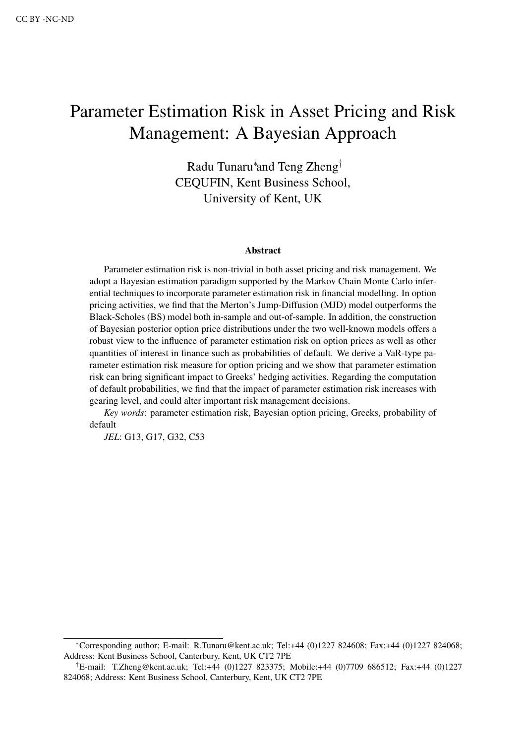# Parameter Estimation Risk in Asset Pricing and Risk Management: A Bayesian Approach

Radu Tunaru∗ and Teng Zheng† CEQUFIN, Kent Business School, University of Kent, UK

#### **Abstract**

Parameter estimation risk is non-trivial in both asset pricing and risk management. We adopt a Bayesian estimation paradigm supported by the Markov Chain Monte Carlo inferential techniques to incorporate parameter estimation risk in financial modelling. In option pricing activities, we find that the Merton's Jump-Diffusion (MJD) model outperforms the Black-Scholes (BS) model both in-sample and out-of-sample. In addition, the construction of Bayesian posterior option price distributions under the two well-known models offers a robust view to the influence of parameter estimation risk on option prices as well as other quantities of interest in finance such as probabilities of default. We derive a VaR-type parameter estimation risk measure for option pricing and we show that parameter estimation risk can bring significant impact to Greeks' hedging activities. Regarding the computation of default probabilities, we find that the impact of parameter estimation risk increases with gearing level, and could alter important risk management decisions.

*Key words*: parameter estimation risk, Bayesian option pricing, Greeks, probability of default

*JEL*: G13, G17, G32, C53

<sup>∗</sup>Corresponding author; E-mail: R.Tunaru@kent.ac.uk; Tel:+44 (0)1227 824608; Fax:+44 (0)1227 824068; Address: Kent Business School, Canterbury, Kent, UK CT2 7PE

<sup>†</sup>E-mail: T.Zheng@kent.ac.uk; Tel:+44 (0)1227 823375; Mobile:+44 (0)7709 686512; Fax:+44 (0)1227 824068; Address: Kent Business School, Canterbury, Kent, UK CT2 7PE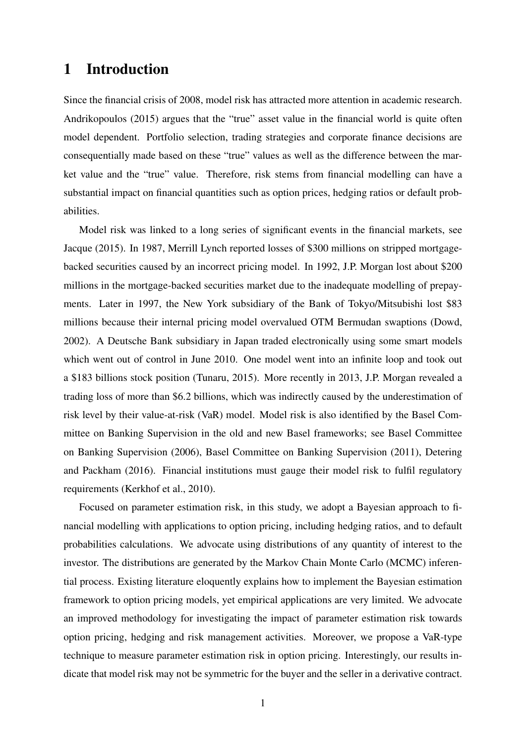## 1 Introduction

Since the financial crisis of 2008, model risk has attracted more attention in academic research. Andrikopoulos (2015) argues that the "true" asset value in the financial world is quite often model dependent. Portfolio selection, trading strategies and corporate finance decisions are consequentially made based on these "true" values as well as the difference between the market value and the "true" value. Therefore, risk stems from financial modelling can have a substantial impact on financial quantities such as option prices, hedging ratios or default probabilities.

Model risk was linked to a long series of significant events in the financial markets, see Jacque (2015). In 1987, Merrill Lynch reported losses of \$300 millions on stripped mortgagebacked securities caused by an incorrect pricing model. In 1992, J.P. Morgan lost about \$200 millions in the mortgage-backed securities market due to the inadequate modelling of prepayments. Later in 1997, the New York subsidiary of the Bank of Tokyo/Mitsubishi lost \$83 millions because their internal pricing model overvalued OTM Bermudan swaptions (Dowd, 2002). A Deutsche Bank subsidiary in Japan traded electronically using some smart models which went out of control in June 2010. One model went into an infinite loop and took out a \$183 billions stock position (Tunaru, 2015). More recently in 2013, J.P. Morgan revealed a trading loss of more than \$6.2 billions, which was indirectly caused by the underestimation of risk level by their value-at-risk (VaR) model. Model risk is also identified by the Basel Committee on Banking Supervision in the old and new Basel frameworks; see Basel Committee on Banking Supervision (2006), Basel Committee on Banking Supervision (2011), Detering and Packham (2016). Financial institutions must gauge their model risk to fulfil regulatory requirements (Kerkhof et al., 2010).

Focused on parameter estimation risk, in this study, we adopt a Bayesian approach to financial modelling with applications to option pricing, including hedging ratios, and to default probabilities calculations. We advocate using distributions of any quantity of interest to the investor. The distributions are generated by the Markov Chain Monte Carlo (MCMC) inferential process. Existing literature eloquently explains how to implement the Bayesian estimation framework to option pricing models, yet empirical applications are very limited. We advocate an improved methodology for investigating the impact of parameter estimation risk towards option pricing, hedging and risk management activities. Moreover, we propose a VaR-type technique to measure parameter estimation risk in option pricing. Interestingly, our results indicate that model risk may not be symmetric for the buyer and the seller in a derivative contract.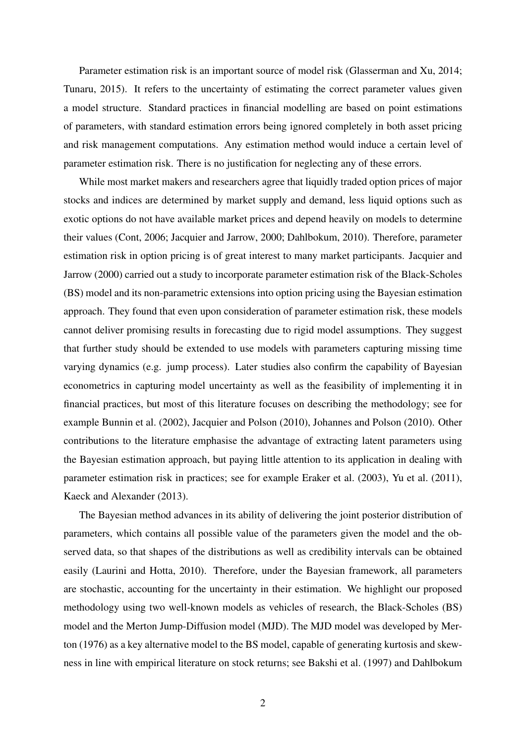Parameter estimation risk is an important source of model risk (Glasserman and Xu, 2014; Tunaru, 2015). It refers to the uncertainty of estimating the correct parameter values given a model structure. Standard practices in financial modelling are based on point estimations of parameters, with standard estimation errors being ignored completely in both asset pricing and risk management computations. Any estimation method would induce a certain level of parameter estimation risk. There is no justification for neglecting any of these errors.

While most market makers and researchers agree that liquidly traded option prices of major stocks and indices are determined by market supply and demand, less liquid options such as exotic options do not have available market prices and depend heavily on models to determine their values (Cont, 2006; Jacquier and Jarrow, 2000; Dahlbokum, 2010). Therefore, parameter estimation risk in option pricing is of great interest to many market participants. Jacquier and Jarrow (2000) carried out a study to incorporate parameter estimation risk of the Black-Scholes (BS) model and its non-parametric extensions into option pricing using the Bayesian estimation approach. They found that even upon consideration of parameter estimation risk, these models cannot deliver promising results in forecasting due to rigid model assumptions. They suggest that further study should be extended to use models with parameters capturing missing time varying dynamics (e.g. jump process). Later studies also confirm the capability of Bayesian econometrics in capturing model uncertainty as well as the feasibility of implementing it in financial practices, but most of this literature focuses on describing the methodology; see for example Bunnin et al. (2002), Jacquier and Polson (2010), Johannes and Polson (2010). Other contributions to the literature emphasise the advantage of extracting latent parameters using the Bayesian estimation approach, but paying little attention to its application in dealing with parameter estimation risk in practices; see for example Eraker et al. (2003), Yu et al. (2011), Kaeck and Alexander (2013).

The Bayesian method advances in its ability of delivering the joint posterior distribution of parameters, which contains all possible value of the parameters given the model and the observed data, so that shapes of the distributions as well as credibility intervals can be obtained easily (Laurini and Hotta, 2010). Therefore, under the Bayesian framework, all parameters are stochastic, accounting for the uncertainty in their estimation. We highlight our proposed methodology using two well-known models as vehicles of research, the Black-Scholes (BS) model and the Merton Jump-Diffusion model (MJD). The MJD model was developed by Merton (1976) as a key alternative model to the BS model, capable of generating kurtosis and skewness in line with empirical literature on stock returns; see Bakshi et al. (1997) and Dahlbokum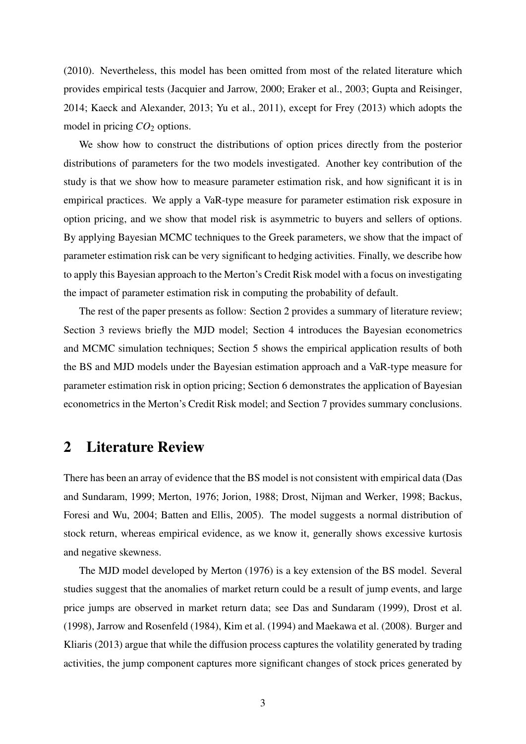(2010). Nevertheless, this model has been omitted from most of the related literature which provides empirical tests (Jacquier and Jarrow, 2000; Eraker et al., 2003; Gupta and Reisinger, 2014; Kaeck and Alexander, 2013; Yu et al., 2011), except for Frey (2013) which adopts the model in pricing  $CO<sub>2</sub>$  options.

We show how to construct the distributions of option prices directly from the posterior distributions of parameters for the two models investigated. Another key contribution of the study is that we show how to measure parameter estimation risk, and how significant it is in empirical practices. We apply a VaR-type measure for parameter estimation risk exposure in option pricing, and we show that model risk is asymmetric to buyers and sellers of options. By applying Bayesian MCMC techniques to the Greek parameters, we show that the impact of parameter estimation risk can be very significant to hedging activities. Finally, we describe how to apply this Bayesian approach to the Merton's Credit Risk model with a focus on investigating the impact of parameter estimation risk in computing the probability of default.

The rest of the paper presents as follow: Section 2 provides a summary of literature review; Section 3 reviews briefly the MJD model; Section 4 introduces the Bayesian econometrics and MCMC simulation techniques; Section 5 shows the empirical application results of both the BS and MJD models under the Bayesian estimation approach and a VaR-type measure for parameter estimation risk in option pricing; Section 6 demonstrates the application of Bayesian econometrics in the Merton's Credit Risk model; and Section 7 provides summary conclusions.

## 2 Literature Review

There has been an array of evidence that the BS model is not consistent with empirical data (Das and Sundaram, 1999; Merton, 1976; Jorion, 1988; Drost, Nijman and Werker, 1998; Backus, Foresi and Wu, 2004; Batten and Ellis, 2005). The model suggests a normal distribution of stock return, whereas empirical evidence, as we know it, generally shows excessive kurtosis and negative skewness.

The MJD model developed by Merton (1976) is a key extension of the BS model. Several studies suggest that the anomalies of market return could be a result of jump events, and large price jumps are observed in market return data; see Das and Sundaram (1999), Drost et al. (1998), Jarrow and Rosenfeld (1984), Kim et al. (1994) and Maekawa et al. (2008). Burger and Kliaris (2013) argue that while the diffusion process captures the volatility generated by trading activities, the jump component captures more significant changes of stock prices generated by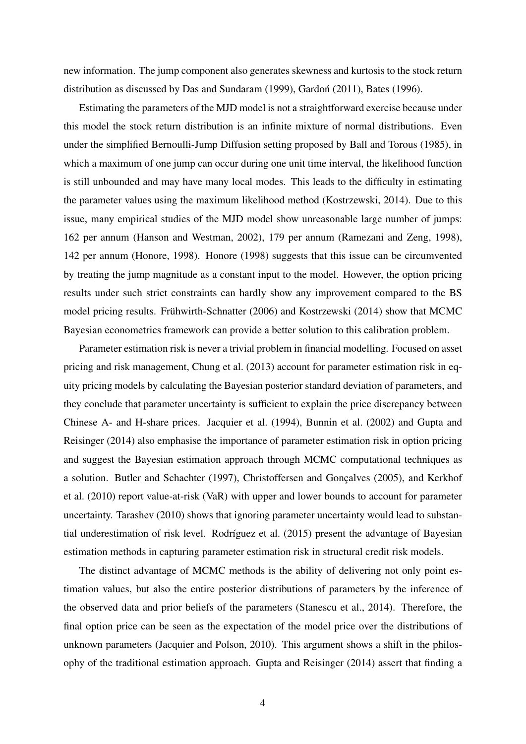new information. The jump component also generates skewness and kurtosis to the stock return distribution as discussed by Das and Sundaram (1999), Gardon (2011), Bates (1996).

Estimating the parameters of the MJD model is not a straightforward exercise because under this model the stock return distribution is an infinite mixture of normal distributions. Even under the simplified Bernoulli-Jump Diffusion setting proposed by Ball and Torous (1985), in which a maximum of one jump can occur during one unit time interval, the likelihood function is still unbounded and may have many local modes. This leads to the difficulty in estimating the parameter values using the maximum likelihood method (Kostrzewski, 2014). Due to this issue, many empirical studies of the MJD model show unreasonable large number of jumps: 162 per annum (Hanson and Westman, 2002), 179 per annum (Ramezani and Zeng, 1998), 142 per annum (Honore, 1998). Honore (1998) suggests that this issue can be circumvented by treating the jump magnitude as a constant input to the model. However, the option pricing results under such strict constraints can hardly show any improvement compared to the BS model pricing results. Frühwirth-Schnatter (2006) and Kostrzewski (2014) show that MCMC Bayesian econometrics framework can provide a better solution to this calibration problem.

Parameter estimation risk is never a trivial problem in financial modelling. Focused on asset pricing and risk management, Chung et al. (2013) account for parameter estimation risk in equity pricing models by calculating the Bayesian posterior standard deviation of parameters, and they conclude that parameter uncertainty is sufficient to explain the price discrepancy between Chinese A- and H-share prices. Jacquier et al. (1994), Bunnin et al. (2002) and Gupta and Reisinger (2014) also emphasise the importance of parameter estimation risk in option pricing and suggest the Bayesian estimation approach through MCMC computational techniques as a solution. Butler and Schachter (1997), Christoffersen and Gonçalves (2005), and Kerkhof et al. (2010) report value-at-risk (VaR) with upper and lower bounds to account for parameter uncertainty. Tarashev (2010) shows that ignoring parameter uncertainty would lead to substantial underestimation of risk level. Rodríguez et al. (2015) present the advantage of Bayesian estimation methods in capturing parameter estimation risk in structural credit risk models.

The distinct advantage of MCMC methods is the ability of delivering not only point estimation values, but also the entire posterior distributions of parameters by the inference of the observed data and prior beliefs of the parameters (Stanescu et al., 2014). Therefore, the final option price can be seen as the expectation of the model price over the distributions of unknown parameters (Jacquier and Polson, 2010). This argument shows a shift in the philosophy of the traditional estimation approach. Gupta and Reisinger (2014) assert that finding a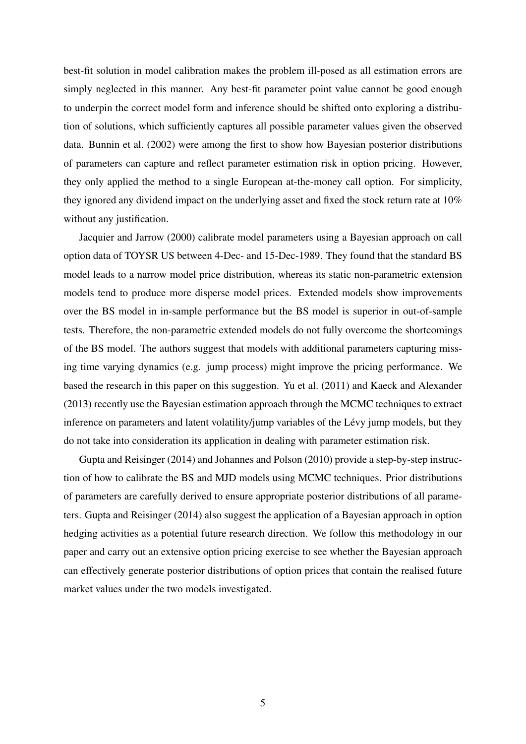best-fit solution in model calibration makes the problem ill-posed as all estimation errors are simply neglected in this manner. Any best-fit parameter point value cannot be good enough to underpin the correct model form and inference should be shifted onto exploring a distribution of solutions, which sufficiently captures all possible parameter values given the observed data. Bunnin et al. (2002) were among the first to show how Bayesian posterior distributions of parameters can capture and reflect parameter estimation risk in option pricing. However, they only applied the method to a single European at-the-money call option. For simplicity, they ignored any dividend impact on the underlying asset and fixed the stock return rate at 10% without any justification.

Jacquier and Jarrow (2000) calibrate model parameters using a Bayesian approach on call option data of TOYSR US between 4-Dec- and 15-Dec-1989. They found that the standard BS model leads to a narrow model price distribution, whereas its static non-parametric extension models tend to produce more disperse model prices. Extended models show improvements over the BS model in in-sample performance but the BS model is superior in out-of-sample tests. Therefore, the non-parametric extended models do not fully overcome the shortcomings of the BS model. The authors suggest that models with additional parameters capturing missing time varying dynamics (e.g. jump process) might improve the pricing performance. We based the research in this paper on this suggestion. Yu et al. (2011) and Kaeck and Alexander (2013) recently use the Bayesian estimation approach through the MCMC techniques to extract inference on parameters and latent volatility/jump variables of the Lévy jump models, but they do not take into consideration its application in dealing with parameter estimation risk.

Gupta and Reisinger (2014) and Johannes and Polson (2010) provide a step-by-step instruction of how to calibrate the BS and MJD models using MCMC techniques. Prior distributions of parameters are carefully derived to ensure appropriate posterior distributions of all parameters. Gupta and Reisinger (2014) also suggest the application of a Bayesian approach in option hedging activities as a potential future research direction. We follow this methodology in our paper and carry out an extensive option pricing exercise to see whether the Bayesian approach can effectively generate posterior distributions of option prices that contain the realised future market values under the two models investigated.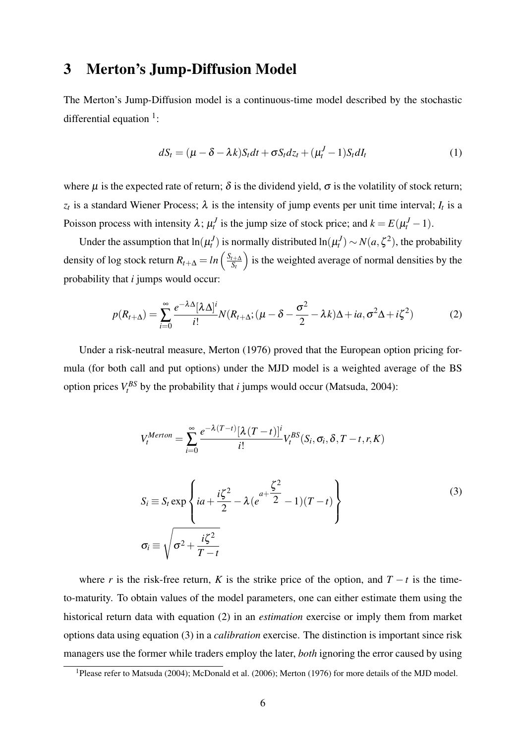### 3 Merton's Jump-Diffusion Model

The Merton's Jump-Diffusion model is a continuous-time model described by the stochastic differential equation  $1$ :

$$
dS_t = (\mu - \delta - \lambda k)S_t dt + \sigma S_t dz_t + (\mu_t^J - 1)S_t dI_t
$$
\n(1)

where  $\mu$  is the expected rate of return;  $\delta$  is the dividend yield,  $\sigma$  is the volatility of stock return;  $z_t$  is a standard Wiener Process;  $\lambda$  is the intensity of jump events per unit time interval;  $I_t$  is a Poisson process with intensity  $\lambda$ ;  $\mu_t^J$  is the jump size of stock price; and  $k = E(\mu_t^J - 1)$ .

Under the assumption that  $ln(\mu_t^J)$  is normally distributed  $ln(\mu_t^J) \sim N(a, \zeta^2)$ , the probability density of log stock return  $R_{t+\Delta} = \ln\left(\frac{S_{t+\Delta}}{S_t}\right)$ *St* ) is the weighted average of normal densities by the probability that *i* jumps would occur:

$$
p(R_{t+\Delta}) = \sum_{i=0}^{\infty} \frac{e^{-\lambda \Delta} [\lambda \Delta]^i}{i!} N(R_{t+\Delta}; (\mu - \delta - \frac{\sigma^2}{2} - \lambda k) \Delta + ia, \sigma^2 \Delta + i\zeta^2)
$$
 (2)

Under a risk-neutral measure, Merton (1976) proved that the European option pricing formula (for both call and put options) under the MJD model is a weighted average of the BS option prices  $V_t^{BS}$  by the probability that *i* jumps would occur (Matsuda, 2004):

$$
V_t^{Merton} = \sum_{i=0}^{\infty} \frac{e^{-\lambda (T-t)} [\lambda (T-t)]^i}{i!} V_t^{BS}(S_i, \sigma_i, \delta, T-t, r, K)
$$
  

$$
S_i \equiv S_t \exp\left\{ ia + \frac{i\zeta^2}{2} - \lambda (e^{a + \frac{\zeta^2}{2}} - 1)(T-t) \right\}
$$
  

$$
\sigma_i \equiv \sqrt{\sigma^2 + \frac{i\zeta^2}{T-t}}
$$
 (3)

where *r* is the risk-free return, *K* is the strike price of the option, and  $T - t$  is the timeto-maturity. To obtain values of the model parameters, one can either estimate them using the historical return data with equation (2) in an *estimation* exercise or imply them from market options data using equation (3) in a *calibration* exercise. The distinction is important since risk managers use the former while traders employ the later, *both* ignoring the error caused by using

<sup>&</sup>lt;sup>1</sup>Please refer to Matsuda (2004); McDonald et al. (2006); Merton (1976) for more details of the MJD model.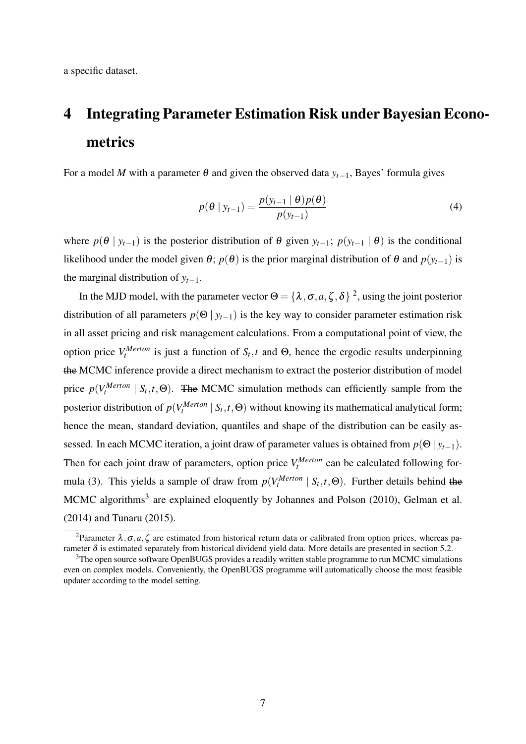a specific dataset.

# 4 Integrating Parameter Estimation Risk under Bayesian Econometrics

For a model *M* with a parameter  $\theta$  and given the observed data  $y_{t-1}$ , Bayes' formula gives

$$
p(\theta \mid y_{t-1}) = \frac{p(y_{t-1} \mid \theta) p(\theta)}{p(y_{t-1})}
$$
\n(4)

where  $p(\theta | y_{t-1})$  is the posterior distribution of  $\theta$  given  $y_{t-1}$ ;  $p(y_{t-1} | \theta)$  is the conditional likelihood under the model given  $\theta$ ; *p*( $\theta$ ) is the prior marginal distribution of  $\theta$  and *p*(*y*<sub>*t*−1</sub>) is the marginal distribution of  $y_{t-1}$ .

In the MJD model, with the parameter vector  $\Theta = \{\lambda, \sigma, a, \zeta, \delta\}^2$ , using the joint posterior distribution of all parameters  $p(\Theta | y_{t-1})$  is the key way to consider parameter estimation risk in all asset pricing and risk management calculations. From a computational point of view, the option price  $V_t^{Merton}$  is just a function of  $S_t$ , *t* and  $\Theta$ , hence the ergodic results underpinning the MCMC inference provide a direct mechanism to extract the posterior distribution of model price  $p(V_t^{Merton} | S_t, t, \Theta)$ . The MCMC simulation methods can efficiently sample from the posterior distribution of  $p(V_t^{Merton} | S_t, t, \Theta)$  without knowing its mathematical analytical form; hence the mean, standard deviation, quantiles and shape of the distribution can be easily assessed. In each MCMC iteration, a joint draw of parameter values is obtained from  $p(\Theta | y_{t-1})$ . Then for each joint draw of parameters, option price  $V_t^{Merton}$  can be calculated following formula (3). This yields a sample of draw from  $p(V_t^{Merton} | S_t, t, \Theta)$ . Further details behind the MCMC algorithms<sup>3</sup> are explained eloquently by Johannes and Polson (2010), Gelman et al. (2014) and Tunaru (2015).

<sup>&</sup>lt;sup>2</sup>Parameter  $\lambda$ ,  $\sigma$ ,  $a$ ,  $\zeta$  are estimated from historical return data or calibrated from option prices, whereas parameter  $\delta$  is estimated separately from historical dividend yield data. More details are presented in section 5.2.

<sup>&</sup>lt;sup>3</sup>The open source software OpenBUGS provides a readily written stable programme to run MCMC simulations even on complex models. Conveniently, the OpenBUGS programme will automatically choose the most feasible updater according to the model setting.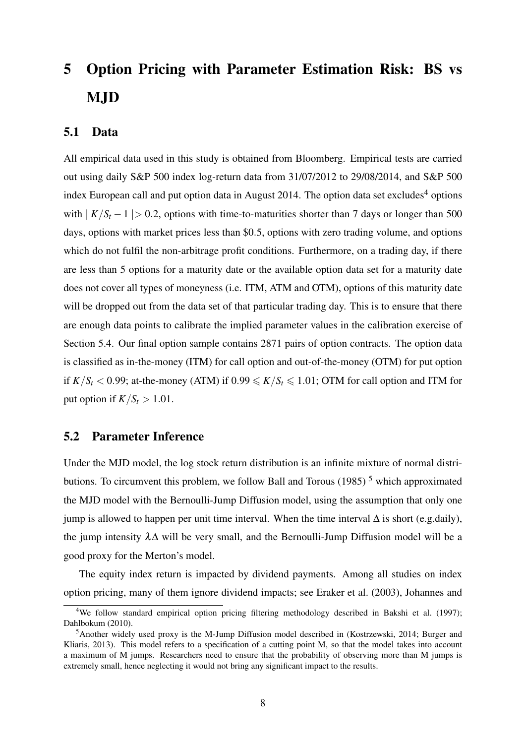# 5 Option Pricing with Parameter Estimation Risk: BS vs MJD

### 5.1 Data

All empirical data used in this study is obtained from Bloomberg. Empirical tests are carried out using daily S&P 500 index log-return data from 31/07/2012 to 29/08/2014, and S&P 500 index European call and put option data in August 2014. The option data set excludes<sup>4</sup> options with  $|K/S_t - 1| > 0.2$ , options with time-to-maturities shorter than 7 days or longer than 500 days, options with market prices less than \$0.5, options with zero trading volume, and options which do not fulfil the non-arbitrage profit conditions. Furthermore, on a trading day, if there are less than 5 options for a maturity date or the available option data set for a maturity date does not cover all types of moneyness (i.e. ITM, ATM and OTM), options of this maturity date will be dropped out from the data set of that particular trading day. This is to ensure that there are enough data points to calibrate the implied parameter values in the calibration exercise of Section 5.4. Our final option sample contains 2871 pairs of option contracts. The option data is classified as in-the-money (ITM) for call option and out-of-the-money (OTM) for put option if  $K/S_t < 0.99$ ; at-the-money (ATM) if  $0.99 \le K/S_t \le 1.01$ ; OTM for call option and ITM for put option if  $K/S_t > 1.01$ .

### 5.2 Parameter Inference

Under the MJD model, the log stock return distribution is an infinite mixture of normal distributions. To circumvent this problem, we follow Ball and Torous (1985)  $^5$  which approximated the MJD model with the Bernoulli-Jump Diffusion model, using the assumption that only one jump is allowed to happen per unit time interval. When the time interval  $\Delta$  is short (e.g.daily), the jump intensity  $\lambda \Delta$  will be very small, and the Bernoulli-Jump Diffusion model will be a good proxy for the Merton's model.

The equity index return is impacted by dividend payments. Among all studies on index option pricing, many of them ignore dividend impacts; see Eraker et al. (2003), Johannes and

<sup>&</sup>lt;sup>4</sup>We follow standard empirical option pricing filtering methodology described in Bakshi et al. (1997); Dahlbokum (2010).

 $5$ Another widely used proxy is the M-Jump Diffusion model described in (Kostrzewski, 2014; Burger and Kliaris, 2013). This model refers to a specification of a cutting point M, so that the model takes into account a maximum of M jumps. Researchers need to ensure that the probability of observing more than M jumps is extremely small, hence neglecting it would not bring any significant impact to the results.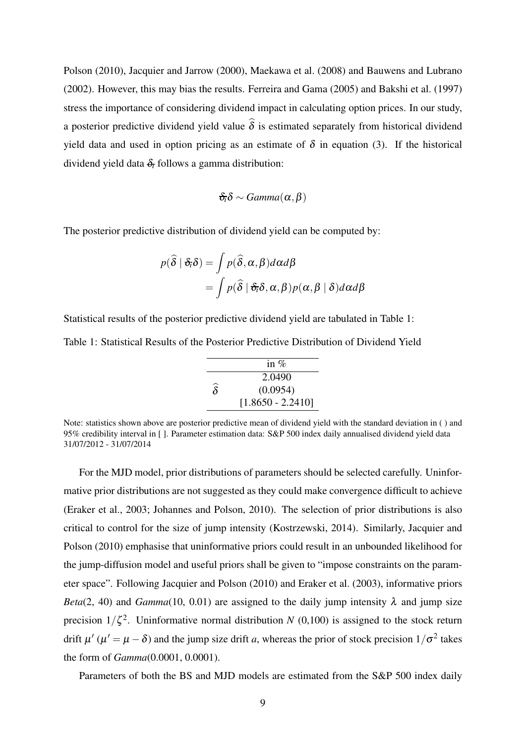Polson (2010), Jacquier and Jarrow (2000), Maekawa et al. (2008) and Bauwens and Lubrano (2002). However, this may bias the results. Ferreira and Gama (2005) and Bakshi et al. (1997) stress the importance of considering dividend impact in calculating option prices. In our study, a posterior predictive dividend yield value  $\hat{\delta}$  is estimated separately from historical dividend yield data and used in option pricing as an estimate of  $\delta$  in equation (3). If the historical dividend yield data <sup>δ</sup>*<sup>i</sup>* follows a gamma distribution:

$$
\mathbf{\hat{e}}_i \delta \sim \text{Gamma}(\alpha, \beta)
$$

The posterior predictive distribution of dividend yield can be computed by:

$$
p(\widehat{\delta} | \widehat{\sigma}_i \delta) = \int p(\widehat{\delta}, \alpha, \beta) d\alpha d\beta
$$
  
= 
$$
\int p(\widehat{\delta} | \widehat{\sigma}_i \delta, \alpha, \beta) p(\alpha, \beta | \delta) d\alpha d\beta
$$

Statistical results of the posterior predictive dividend yield are tabulated in Table 1:

Table 1: Statistical Results of the Posterior Predictive Distribution of Dividend Yield

|                    | in $\%$             |
|--------------------|---------------------|
|                    | 2.0490              |
| $\widehat{\delta}$ | (0.0954)            |
|                    | $[1.8650 - 2.2410]$ |

Note: statistics shown above are posterior predictive mean of dividend yield with the standard deviation in ( ) and 95% credibility interval in [ ]. Parameter estimation data: S&P 500 index daily annualised dividend yield data 31/07/2012 - 31/07/2014

For the MJD model, prior distributions of parameters should be selected carefully. Uninformative prior distributions are not suggested as they could make convergence difficult to achieve (Eraker et al., 2003; Johannes and Polson, 2010). The selection of prior distributions is also critical to control for the size of jump intensity (Kostrzewski, 2014). Similarly, Jacquier and Polson (2010) emphasise that uninformative priors could result in an unbounded likelihood for the jump-diffusion model and useful priors shall be given to "impose constraints on the parameter space". Following Jacquier and Polson (2010) and Eraker et al. (2003), informative priors *Beta*(2, 40) and *Gamma*(10, 0.01) are assigned to the daily jump intensity  $\lambda$  and jump size precision  $1/\zeta^2$ . Uninformative normal distribution *N* (0,100) is assigned to the stock return drift  $\mu'$  ( $\mu' = \mu - \delta$ ) and the jump size drift *a*, whereas the prior of stock precision  $1/\sigma^2$  takes the form of *Gamma*(0.0001, 0.0001).

Parameters of both the BS and MJD models are estimated from the S&P 500 index daily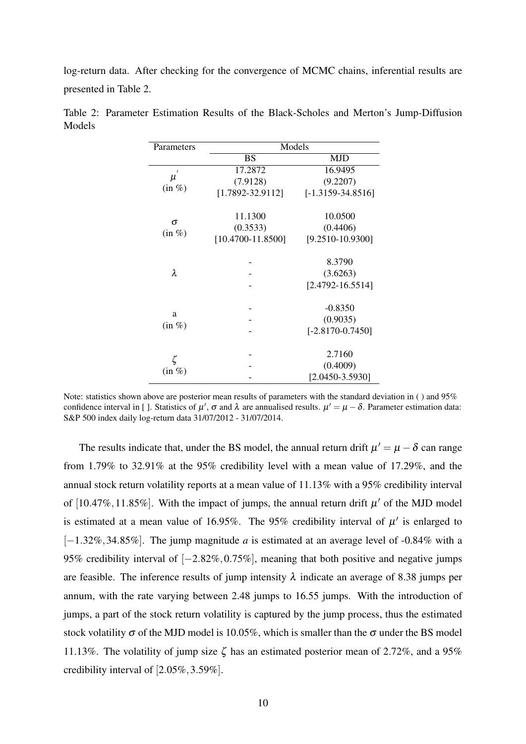log-return data. After checking for the convergence of MCMC chains, inferential results are presented in Table 2.

| Parameters | Models                |                       |  |  |  |  |  |
|------------|-----------------------|-----------------------|--|--|--|--|--|
|            | <b>BS</b>             | <b>MJD</b>            |  |  |  |  |  |
|            | 17.2872               | 16.9495               |  |  |  |  |  |
| $\mu$      | (7.9128)              | (9.2207)              |  |  |  |  |  |
| (in %)     | $[1.7892 - 32.9112]$  | $[-1.3159 - 34.8516]$ |  |  |  |  |  |
|            | 11.1300               | 10.0500               |  |  |  |  |  |
| $\sigma$   | (0.3533)              | (0.4406)              |  |  |  |  |  |
| $(in \%)$  | $[10.4700 - 11.8500]$ | $[9.2510 - 10.9300]$  |  |  |  |  |  |
|            |                       | 8.3790                |  |  |  |  |  |
| λ          |                       | (3.6263)              |  |  |  |  |  |
|            |                       | $[2.4792 - 16.5514]$  |  |  |  |  |  |
|            |                       | $-0.8350$             |  |  |  |  |  |
| a          |                       | (0.9035)              |  |  |  |  |  |
| $(in \%)$  |                       | $[-2.8170 - 0.7450]$  |  |  |  |  |  |
|            |                       | 2.7160                |  |  |  |  |  |
| ζ          |                       | (0.4009)              |  |  |  |  |  |
| $(in \%)$  |                       | $[2.0450 - 3.5930]$   |  |  |  |  |  |

Table 2: Parameter Estimation Results of the Black-Scholes and Merton's Jump-Diffusion Models

The results indicate that, under the BS model, the annual return drift  $\mu' = \mu - \delta$  can range from 1.79% to 32.91% at the 95% credibility level with a mean value of 17.29%, and the annual stock return volatility reports at a mean value of 11.13% with a 95% credibility interval of [10.47%, 11.85%]. With the impact of jumps, the annual return drift  $\mu'$  of the MJD model is estimated at a mean value of 16.95%. The 95% credibility interval of  $\mu'$  is enlarged to [−1.32%,34.85%]. The jump magnitude *a* is estimated at an average level of -0.84% with a 95% credibility interval of [−2.82%, 0.75%], meaning that both positive and negative jumps are feasible. The inference results of jump intensity  $\lambda$  indicate an average of 8.38 jumps per annum, with the rate varying between 2.48 jumps to 16.55 jumps. With the introduction of jumps, a part of the stock return volatility is captured by the jump process, thus the estimated stock volatility  $\sigma$  of the MJD model is 10.05%, which is smaller than the  $\sigma$  under the BS model 11.13%. The volatility of jump size ζ has an estimated posterior mean of 2.72%, and a 95% credibility interval of  $[2.05\%, 3.59\%]$ .

Note: statistics shown above are posterior mean results of parameters with the standard deviation in () and 95% confidence interval in []. Statistics of  $\mu'$ ,  $\sigma$  and  $\lambda$  are annualised results.  $\mu' = \mu - \delta$ . Parameter estimation data: S&P 500 index daily log-return data 31/07/2012 - 31/07/2014.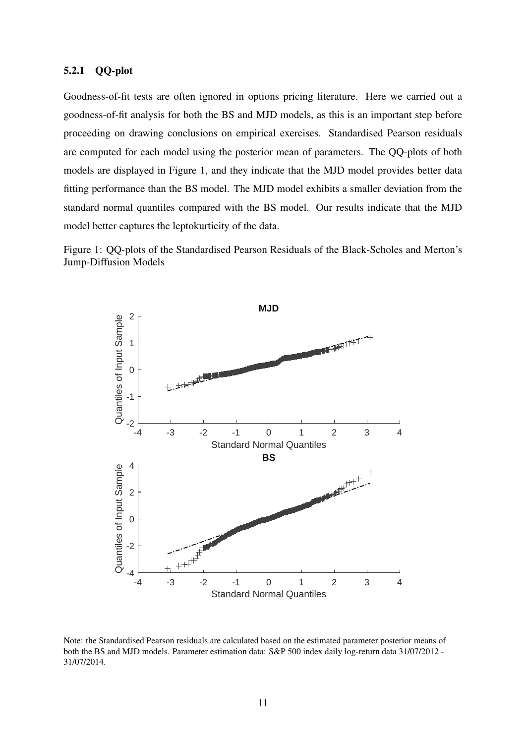#### 5.2.1 QQ-plot

Goodness-of-fit tests are often ignored in options pricing literature. Here we carried out a goodness-of-fit analysis for both the BS and MJD models, as this is an important step before proceeding on drawing conclusions on empirical exercises. Standardised Pearson residuals are computed for each model using the posterior mean of parameters. The QQ-plots of both models are displayed in Figure 1, and they indicate that the MJD model provides better data fitting performance than the BS model. The MJD model exhibits a smaller deviation from the standard normal quantiles compared with the BS model. Our results indicate that the MJD model better captures the leptokurticity of the data.

Figure 1: QQ-plots of the Standardised Pearson Residuals of the Black-Scholes and Merton's Jump-Diffusion Models



Note: the Standardised Pearson residuals are calculated based on the estimated parameter posterior means of both the BS and MJD models. Parameter estimation data: S&P 500 index daily log-return data 31/07/2012 - 31/07/2014.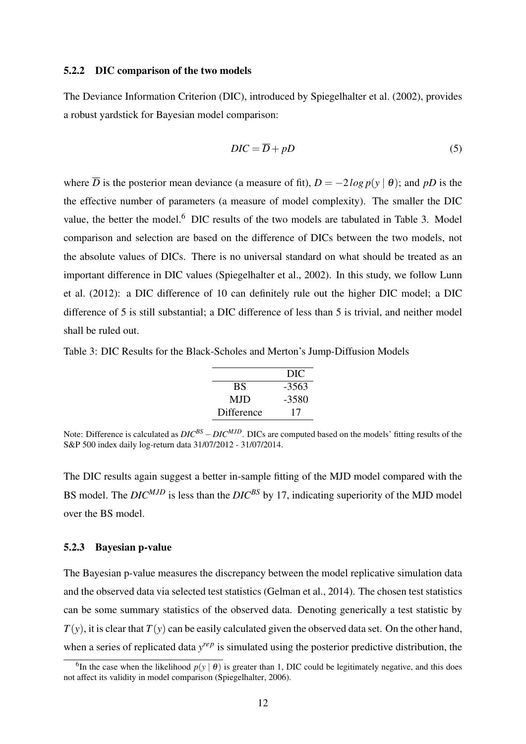#### 5.2.2 DIC comparison of the two models

The Deviance Information Criterion (DIC), introduced by Spiegelhalter et al. (2002), provides a robust yardstick for Bayesian model comparison:

$$
DIC = \overline{D} + pD \tag{5}
$$

where  $\overline{D}$  is the posterior mean deviance (a measure of fit),  $D = -2log p(y | \theta)$ ; and pD is the the effective number of parameters (a measure of model complexity). The smaller the DIC value, the better the model.<sup>6</sup> DIC results of the two models are tabulated in Table 3. Model comparison and selection are based on the difference of DICs between the two models, not the absolute values of DICs. There is no universal standard on what should be treated as an important difference in DIC values (Spiegelhalter et al., 2002). In this study, we follow Lunn et al. (2012): a DIC difference of 10 can definitely rule out the higher DIC model; a DIC difference of 5 is still substantial; a DIC difference of less than 5 is trivial, and neither model shall be ruled out.

Table 3: DIC Results for the Black-Scholes and Merton's Jump-Diffusion Models

|            | DIC     |
|------------|---------|
| <b>BS</b>  | $-3563$ |
| MJD        | -3580   |
| Difference | 17      |

Note: Difference is calculated as *DICBS* <sup>−</sup>*DICMJD*. DICs are computed based on the models' fitting results of the S&P 500 index daily log-return data 31/07/2012 - 31/07/2014.

The DIC results again suggest a better in-sample fitting of the MJD model compared with the BS model. The *DICMJD* is less than the *DICBS* by 17, indicating superiority of the MJD model over the BS model.

#### 5.2.3 Bayesian p-value

The Bayesian p-value measures the discrepancy between the model replicative simulation data and the observed data via selected test statistics (Gelman et al., 2014). The chosen test statistics can be some summary statistics of the observed data. Denoting generically a test statistic by  $T(y)$ , it is clear that  $T(y)$  can be easily calculated given the observed data set. On the other hand, when a series of replicated data *y rep* is simulated using the posterior predictive distribution, the

<sup>&</sup>lt;sup>6</sup>In the case when the likelihood  $p(y | \theta)$  is greater than 1, DIC could be legitimately negative, and this does not affect its validity in model comparison (Spiegelhalter, 2006).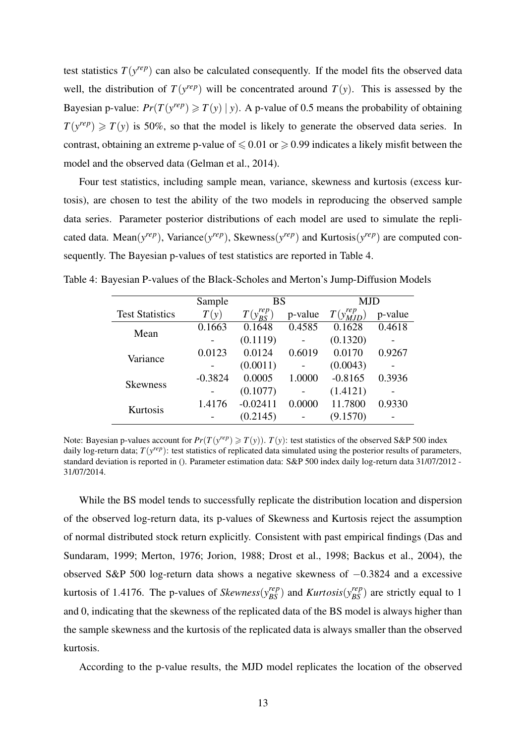test statistics  $T(y^{rep})$  can also be calculated consequently. If the model fits the observed data well, the distribution of  $T(y^{rep})$  will be concentrated around  $T(y)$ . This is assessed by the Bayesian p-value:  $Pr(T(y^{rep}) \ge T(y) | y)$ . A p-value of 0.5 means the probability of obtaining  $T(y^{rep}) \geq T(y)$  is 50%, so that the model is likely to generate the observed data series. In contrast, obtaining an extreme p-value of  $\leq 0.01$  or  $\geq 0.99$  indicates a likely misfit between the model and the observed data (Gelman et al., 2014).

Four test statistics, including sample mean, variance, skewness and kurtosis (excess kurtosis), are chosen to test the ability of the two models in reproducing the observed sample data series. Parameter posterior distributions of each model are used to simulate the replicated data. Mean( $y^{rep}$ ), Variance( $y^{rep}$ ), Skewness( $y^{rep}$ ) and Kurtosis( $y^{rep}$ ) are computed consequently. The Bayesian p-values of test statistics are reported in Table 4.

|                        | Sample    | BS                |         | MJD                |         |
|------------------------|-----------|-------------------|---------|--------------------|---------|
| <b>Test Statistics</b> | T(y)      | $T(y_{RS}^{rep})$ | p-value | $T(y_{MJD}^{rep})$ | p-value |
| Mean                   | 0.1663    | 0.1648            | 0.4585  | 0.1628             | 0.4618  |
|                        |           | (0.1119)          |         | (0.1320)           |         |
|                        | 0.0123    | 0.0124            | 0.6019  | 0.0170             | 0.9267  |
| Variance               |           | (0.0011)          |         | (0.0043)           |         |
| <b>Skewness</b>        | $-0.3824$ | 0.0005            | 1.0000  | $-0.8165$          | 0.3936  |
|                        |           | (0.1077)          |         | (1.4121)           |         |
|                        | 1.4176    | $-0.02411$        | 0.0000  | 11.7800            | 0.9330  |
| Kurtosis               |           | (0.2145)          |         | (9.1570)           |         |

Table 4: Bayesian P-values of the Black-Scholes and Merton's Jump-Diffusion Models

Note: Bayesian p-values account for  $Pr(T(y^{rep}) \ge T(y))$ .  $T(y)$ : test statistics of the observed S&P 500 index daily log-return data;  $T(y^{rep})$ : test statistics of replicated data simulated using the posterior results of parameters, standard deviation is reported in (). Parameter estimation data: S&P 500 index daily log-return data 31/07/2012 - 31/07/2014.

While the BS model tends to successfully replicate the distribution location and dispersion of the observed log-return data, its p-values of Skewness and Kurtosis reject the assumption of normal distributed stock return explicitly. Consistent with past empirical findings (Das and Sundaram, 1999; Merton, 1976; Jorion, 1988; Drost et al., 1998; Backus et al., 2004), the observed S&P 500 log-return data shows a negative skewness of −0.3824 and a excessive kurtosis of 1.4176. The p-values of *Skewness*( $y_{BS}^{rep}$ ) and *Kurtosis*( $y_{BS}^{rep}$ ) are strictly equal to 1 and 0, indicating that the skewness of the replicated data of the BS model is always higher than the sample skewness and the kurtosis of the replicated data is always smaller than the observed kurtosis.

According to the p-value results, the MJD model replicates the location of the observed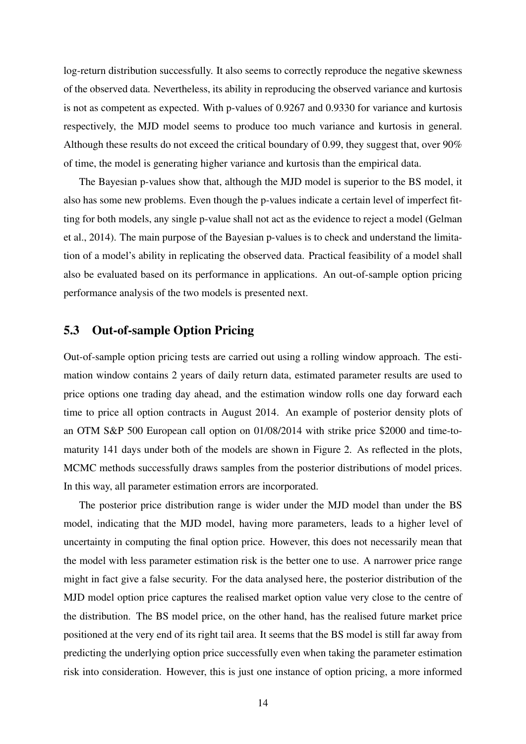log-return distribution successfully. It also seems to correctly reproduce the negative skewness of the observed data. Nevertheless, its ability in reproducing the observed variance and kurtosis is not as competent as expected. With p-values of 0.9267 and 0.9330 for variance and kurtosis respectively, the MJD model seems to produce too much variance and kurtosis in general. Although these results do not exceed the critical boundary of 0.99, they suggest that, over 90% of time, the model is generating higher variance and kurtosis than the empirical data.

The Bayesian p-values show that, although the MJD model is superior to the BS model, it also has some new problems. Even though the p-values indicate a certain level of imperfect fitting for both models, any single p-value shall not act as the evidence to reject a model (Gelman et al., 2014). The main purpose of the Bayesian p-values is to check and understand the limitation of a model's ability in replicating the observed data. Practical feasibility of a model shall also be evaluated based on its performance in applications. An out-of-sample option pricing performance analysis of the two models is presented next.

### 5.3 Out-of-sample Option Pricing

Out-of-sample option pricing tests are carried out using a rolling window approach. The estimation window contains 2 years of daily return data, estimated parameter results are used to price options one trading day ahead, and the estimation window rolls one day forward each time to price all option contracts in August 2014. An example of posterior density plots of an OTM S&P 500 European call option on 01/08/2014 with strike price \$2000 and time-tomaturity 141 days under both of the models are shown in Figure 2. As reflected in the plots, MCMC methods successfully draws samples from the posterior distributions of model prices. In this way, all parameter estimation errors are incorporated.

The posterior price distribution range is wider under the MJD model than under the BS model, indicating that the MJD model, having more parameters, leads to a higher level of uncertainty in computing the final option price. However, this does not necessarily mean that the model with less parameter estimation risk is the better one to use. A narrower price range might in fact give a false security. For the data analysed here, the posterior distribution of the MJD model option price captures the realised market option value very close to the centre of the distribution. The BS model price, on the other hand, has the realised future market price positioned at the very end of its right tail area. It seems that the BS model is still far away from predicting the underlying option price successfully even when taking the parameter estimation risk into consideration. However, this is just one instance of option pricing, a more informed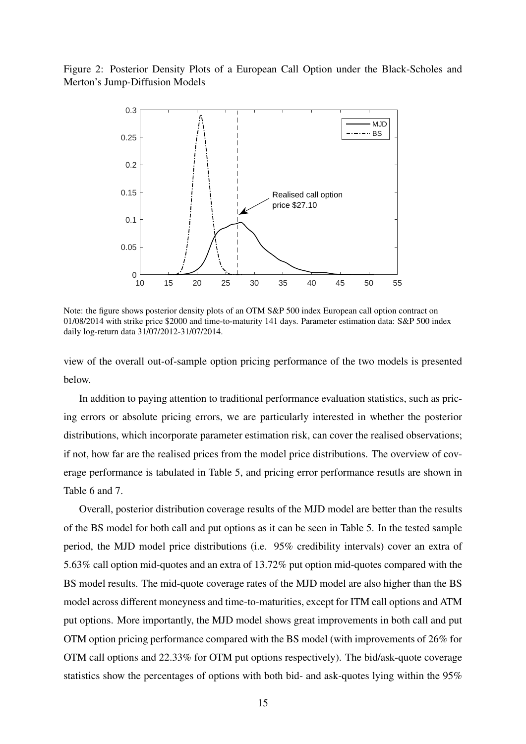Figure 2: Posterior Density Plots of a European Call Option under the Black-Scholes and Merton's Jump-Diffusion Models



Note: the figure shows posterior density plots of an OTM S&P 500 index European call option contract on 01/08/2014 with strike price \$2000 and time-to-maturity 141 days. Parameter estimation data: S&P 500 index daily log-return data 31/07/2012-31/07/2014.

view of the overall out-of-sample option pricing performance of the two models is presented below.

In addition to paying attention to traditional performance evaluation statistics, such as pricing errors or absolute pricing errors, we are particularly interested in whether the posterior distributions, which incorporate parameter estimation risk, can cover the realised observations; if not, how far are the realised prices from the model price distributions. The overview of coverage performance is tabulated in Table 5, and pricing error performance resutls are shown in Table 6 and 7.

Overall, posterior distribution coverage results of the MJD model are better than the results of the BS model for both call and put options as it can be seen in Table 5. In the tested sample period, the MJD model price distributions (i.e. 95% credibility intervals) cover an extra of 5.63% call option mid-quotes and an extra of 13.72% put option mid-quotes compared with the BS model results. The mid-quote coverage rates of the MJD model are also higher than the BS model across different moneyness and time-to-maturities, except for ITM call options and ATM put options. More importantly, the MJD model shows great improvements in both call and put OTM option pricing performance compared with the BS model (with improvements of 26% for OTM call options and 22.33% for OTM put options respectively). The bid/ask-quote coverage statistics show the percentages of options with both bid- and ask-quotes lying within the 95%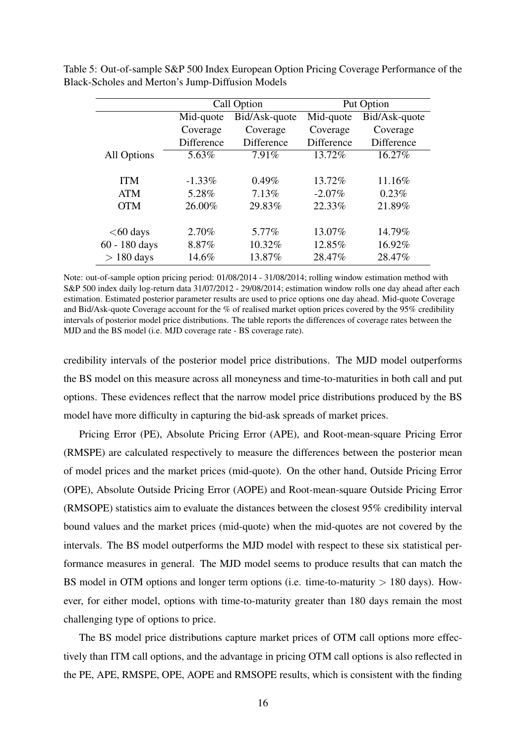|                    |            | Call Option   | Put Option        |               |  |
|--------------------|------------|---------------|-------------------|---------------|--|
|                    | Mid-quote  | Bid/Ask-quote | Mid-quote         | Bid/Ask-quote |  |
|                    | Coverage   | Coverage      | Coverage          | Coverage      |  |
|                    | Difference | Difference    | <b>Difference</b> | Difference    |  |
| All Options        | 5.63%      | 7.91%         | 13.72%            | 16.27%        |  |
|                    |            |               |                   |               |  |
| <b>ITM</b>         | $-1.33\%$  | $0.49\%$      | 13.72%            | 11.16%        |  |
| <b>ATM</b>         | 5.28%      | 7.13%         | $-2.07\%$         | 0.23%         |  |
| <b>OTM</b>         | 26.00%     | 29.83%        | 22.33%            | 21.89%        |  |
|                    |            |               |                   |               |  |
| $<$ 60 days        | 2.70%      | 5.77%         | 13.07%            | 14.79%        |  |
| 60 - 180 days      | 8.87%      | 10.32%        | 12.85%            | 16.92%        |  |
| 180 days<br>$\geq$ | 14.6%      | 13.87%        | 28.47%            | 28.47%        |  |

Table 5: Out-of-sample S&P 500 Index European Option Pricing Coverage Performance of the Black-Scholes and Merton's Jump-Diffusion Models

Note: out-of-sample option pricing period: 01/08/2014 - 31/08/2014; rolling window estimation method with S&P 500 index daily log-return data 31/07/2012 - 29/08/2014; estimation window rolls one day ahead after each estimation. Estimated posterior parameter results are used to price options one day ahead. Mid-quote Coverage and Bid/Ask-quote Coverage account for the % of realised market option prices covered by the 95% credibility intervals of posterior model price distributions. The table reports the differences of coverage rates between the MJD and the BS model (i.e. MJD coverage rate - BS coverage rate).

credibility intervals of the posterior model price distributions. The MJD model outperforms the BS model on this measure across all moneyness and time-to-maturities in both call and put options. These evidences reflect that the narrow model price distributions produced by the BS model have more difficulty in capturing the bid-ask spreads of market prices.

Pricing Error (PE), Absolute Pricing Error (APE), and Root-mean-square Pricing Error (RMSPE) are calculated respectively to measure the differences between the posterior mean of model prices and the market prices (mid-quote). On the other hand, Outside Pricing Error (OPE), Absolute Outside Pricing Error (AOPE) and Root-mean-square Outside Pricing Error (RMSOPE) statistics aim to evaluate the distances between the closest 95% credibility interval bound values and the market prices (mid-quote) when the mid-quotes are not covered by the intervals. The BS model outperforms the MJD model with respect to these six statistical performance measures in general. The MJD model seems to produce results that can match the BS model in OTM options and longer term options (i.e. time-to-maturity  $> 180$  days). However, for either model, options with time-to-maturity greater than 180 days remain the most challenging type of options to price.

The BS model price distributions capture market prices of OTM call options more effectively than ITM call options, and the advantage in pricing OTM call options is also reflected in the PE, APE, RMSPE, OPE, AOPE and RMSOPE results, which is consistent with the finding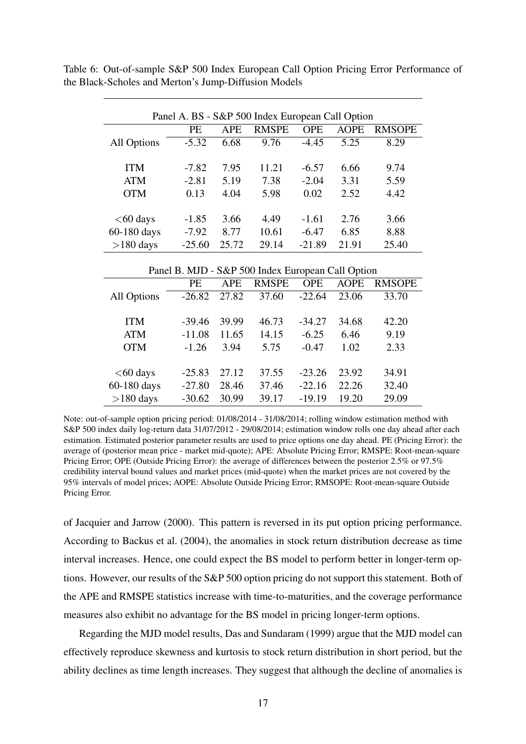| Panel A. BS - S&P 500 Index European Call Option |           |            |                                                   |            |             |               |
|--------------------------------------------------|-----------|------------|---------------------------------------------------|------------|-------------|---------------|
|                                                  | <b>PE</b> | <b>APE</b> | <b>RMSPE</b>                                      | <b>OPE</b> | <b>AOPE</b> | <b>RMSOPE</b> |
| All Options                                      | $-5.32$   | 6.68       | 9.76                                              | $-4.45$    | 5.25        | 8.29          |
|                                                  |           |            |                                                   |            |             |               |
| <b>ITM</b>                                       | $-7.82$   | 7.95       | 11.21                                             | $-6.57$    | 6.66        | 9.74          |
| <b>ATM</b>                                       | $-2.81$   | 5.19       | 7.38                                              | $-2.04$    | 3.31        | 5.59          |
| <b>OTM</b>                                       | 0.13      | 4.04       | 5.98                                              | 0.02       | 2.52        | 4.42          |
|                                                  |           |            |                                                   |            |             |               |
| $<$ 60 days                                      | $-1.85$   | 3.66       | 4.49                                              | $-1.61$    | 2.76        | 3.66          |
| 60-180 days                                      | $-7.92$   | 8.77       | 10.61                                             | $-6.47$    | 6.85        | 8.88          |
| $>180$ days                                      | $-25.60$  | 25.72      | 29.14                                             | $-21.89$   | 21.91       | 25.40         |
|                                                  |           |            |                                                   |            |             |               |
|                                                  |           |            | Panel B. MJD - S&P 500 Index European Call Option |            |             |               |
|                                                  | PE        | <b>APE</b> | <b>RMSPE</b>                                      | <b>OPE</b> | <b>AOPE</b> | <b>RMSOPE</b> |
| All Options                                      | $-26.82$  | 27.82      | 37.60                                             | $-22.64$   | 23.06       | 33.70         |
|                                                  |           |            |                                                   |            |             |               |
| <b>ITM</b>                                       |           |            |                                                   |            |             |               |
|                                                  | $-39.46$  | 39.99      | 46.73                                             | $-34.27$   | 34.68       | 42.20         |
| <b>ATM</b>                                       | $-11.08$  | 11.65      | 14.15                                             | $-6.25$    | 6.46        | 9.19          |
| <b>OTM</b>                                       | $-1.26$   | 3.94       | 5.75                                              | $-0.47$    | 1.02        | 2.33          |
|                                                  |           |            |                                                   |            |             |               |
| $<$ 60 days                                      | $-25.83$  | 27.12      | 37.55                                             | $-23.26$   | 23.92       | 34.91         |
| 60-180 days                                      | $-27.80$  | 28.46      | 37.46                                             | $-22.16$   | 22.26       | 32.40         |

Table 6: Out-of-sample S&P 500 Index European Call Option Pricing Error Performance of the Black-Scholes and Merton's Jump-Diffusion Models

Note: out-of-sample option pricing period: 01/08/2014 - 31/08/2014; rolling window estimation method with S&P 500 index daily log-return data 31/07/2012 - 29/08/2014; estimation window rolls one day ahead after each estimation. Estimated posterior parameter results are used to price options one day ahead. PE (Pricing Error): the average of (posterior mean price - market mid-quote); APE: Absolute Pricing Error; RMSPE: Root-mean-square Pricing Error; OPE (Outside Pricing Error): the average of differences between the posterior 2.5% or 97.5% credibility interval bound values and market prices (mid-quote) when the market prices are not covered by the 95% intervals of model prices; AOPE: Absolute Outside Pricing Error; RMSOPE: Root-mean-square Outside Pricing Error.

of Jacquier and Jarrow (2000). This pattern is reversed in its put option pricing performance. According to Backus et al. (2004), the anomalies in stock return distribution decrease as time interval increases. Hence, one could expect the BS model to perform better in longer-term options. However, our results of the S&P 500 option pricing do not support this statement. Both of the APE and RMSPE statistics increase with time-to-maturities, and the coverage performance measures also exhibit no advantage for the BS model in pricing longer-term options.

Regarding the MJD model results, Das and Sundaram (1999) argue that the MJD model can effectively reproduce skewness and kurtosis to stock return distribution in short period, but the ability declines as time length increases. They suggest that although the decline of anomalies is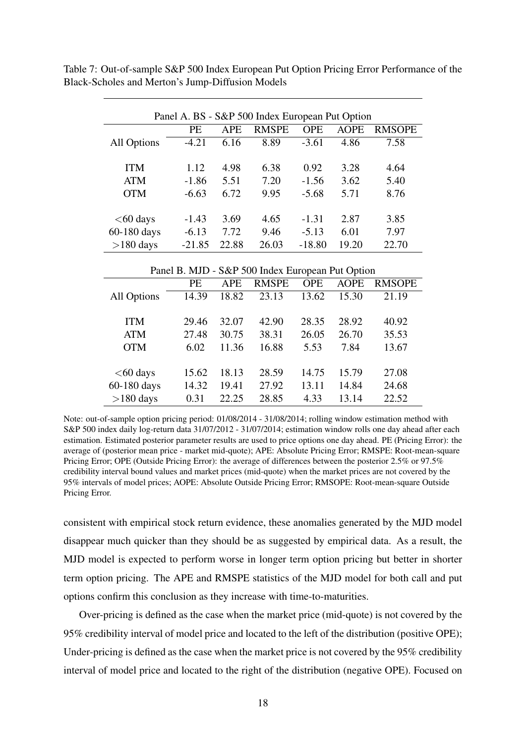| Panel A. BS - S&P 500 Index European Put Option |           |            |                                                  |            |             |               |
|-------------------------------------------------|-----------|------------|--------------------------------------------------|------------|-------------|---------------|
|                                                 | <b>PE</b> | <b>APE</b> | <b>RMSPE</b>                                     | <b>OPE</b> | <b>AOPE</b> | <b>RMSOPE</b> |
| All Options                                     | $-4.21$   | 6.16       | 8.89                                             | $-3.61$    | 4.86        | 7.58          |
|                                                 |           |            |                                                  |            |             |               |
| <b>ITM</b>                                      | 1.12      | 4.98       | 6.38                                             | 0.92       | 3.28        | 4.64          |
| <b>ATM</b>                                      | $-1.86$   | 5.51       | 7.20                                             | $-1.56$    | 3.62        | 5.40          |
| <b>OTM</b>                                      | $-6.63$   | 6.72       | 9.95                                             | $-5.68$    | 5.71        | 8.76          |
|                                                 | $-1.43$   | 3.69       | 4.65                                             | $-1.31$    | 2.87        | 3.85          |
| $<$ 60 days                                     |           |            |                                                  |            |             |               |
| 60-180 days                                     | $-6.13$   | 7.72       | 9.46                                             | $-5.13$    | 6.01        | 7.97          |
| $>180$ days                                     | $-21.85$  | 22.88      | 26.03                                            | $-18.80$   | 19.20       | 22.70         |
|                                                 |           |            |                                                  |            |             |               |
|                                                 |           |            | Panel B. MJD - S&P 500 Index European Put Option |            |             |               |
|                                                 | PE        | <b>APE</b> | <b>RMSPE</b>                                     | <b>OPE</b> | <b>AOPE</b> | <b>RMSOPE</b> |
| All Options                                     | 14.39     | 18.82      | 23.13                                            | 13.62      | 15.30       | 21.19         |
|                                                 |           |            |                                                  |            |             |               |
| <b>ITM</b>                                      | 29.46     | 32.07      | 42.90                                            | 28.35      | 28.92       | 40.92         |
| <b>ATM</b>                                      | 27.48     | 30.75      | 38.31                                            | 26.05      | 26.70       | 35.53         |
| <b>OTM</b>                                      | 6.02      | 11.36      | 16.88                                            | 5.53       | 7.84        | 13.67         |
|                                                 |           |            |                                                  |            |             |               |
| $<$ 60 days                                     | 15.62     | 18.13      | 28.59                                            | 14.75      | 15.79       | 27.08         |

Table 7: Out-of-sample S&P 500 Index European Put Option Pricing Error Performance of the Black-Scholes and Merton's Jump-Diffusion Models

Note: out-of-sample option pricing period: 01/08/2014 - 31/08/2014; rolling window estimation method with S&P 500 index daily log-return data 31/07/2012 - 31/07/2014; estimation window rolls one day ahead after each estimation. Estimated posterior parameter results are used to price options one day ahead. PE (Pricing Error): the average of (posterior mean price - market mid-quote); APE: Absolute Pricing Error; RMSPE: Root-mean-square Pricing Error; OPE (Outside Pricing Error): the average of differences between the posterior 2.5% or 97.5% credibility interval bound values and market prices (mid-quote) when the market prices are not covered by the 95% intervals of model prices; AOPE: Absolute Outside Pricing Error; RMSOPE: Root-mean-square Outside Pricing Error.

60-180 days 14.32 19.41 27.92 13.11 14.84 24.68 >180 days 0.31 22.25 28.85 4.33 13.14 22.52

consistent with empirical stock return evidence, these anomalies generated by the MJD model disappear much quicker than they should be as suggested by empirical data. As a result, the MJD model is expected to perform worse in longer term option pricing but better in shorter term option pricing. The APE and RMSPE statistics of the MJD model for both call and put options confirm this conclusion as they increase with time-to-maturities.

Over-pricing is defined as the case when the market price (mid-quote) is not covered by the 95% credibility interval of model price and located to the left of the distribution (positive OPE); Under-pricing is defined as the case when the market price is not covered by the 95% credibility interval of model price and located to the right of the distribution (negative OPE). Focused on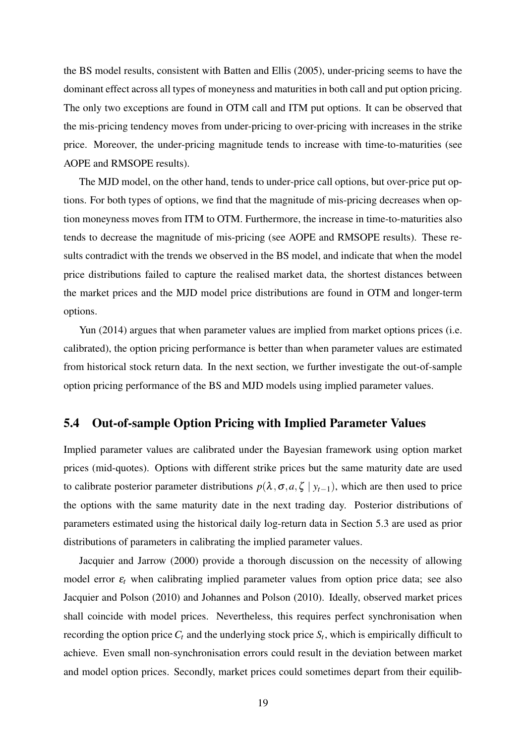the BS model results, consistent with Batten and Ellis (2005), under-pricing seems to have the dominant effect across all types of moneyness and maturities in both call and put option pricing. The only two exceptions are found in OTM call and ITM put options. It can be observed that the mis-pricing tendency moves from under-pricing to over-pricing with increases in the strike price. Moreover, the under-pricing magnitude tends to increase with time-to-maturities (see AOPE and RMSOPE results).

The MJD model, on the other hand, tends to under-price call options, but over-price put options. For both types of options, we find that the magnitude of mis-pricing decreases when option moneyness moves from ITM to OTM. Furthermore, the increase in time-to-maturities also tends to decrease the magnitude of mis-pricing (see AOPE and RMSOPE results). These results contradict with the trends we observed in the BS model, and indicate that when the model price distributions failed to capture the realised market data, the shortest distances between the market prices and the MJD model price distributions are found in OTM and longer-term options.

Yun (2014) argues that when parameter values are implied from market options prices (i.e. calibrated), the option pricing performance is better than when parameter values are estimated from historical stock return data. In the next section, we further investigate the out-of-sample option pricing performance of the BS and MJD models using implied parameter values.

### 5.4 Out-of-sample Option Pricing with Implied Parameter Values

Implied parameter values are calibrated under the Bayesian framework using option market prices (mid-quotes). Options with different strike prices but the same maturity date are used to calibrate posterior parameter distributions  $p(\lambda, \sigma, a, \zeta | y_{t-1})$ , which are then used to price the options with the same maturity date in the next trading day. Posterior distributions of parameters estimated using the historical daily log-return data in Section 5.3 are used as prior distributions of parameters in calibrating the implied parameter values.

Jacquier and Jarrow (2000) provide a thorough discussion on the necessity of allowing model error  $\varepsilon_t$  when calibrating implied parameter values from option price data; see also Jacquier and Polson (2010) and Johannes and Polson (2010). Ideally, observed market prices shall coincide with model prices. Nevertheless, this requires perfect synchronisation when recording the option price  $C_t$  and the underlying stock price  $S_t$ , which is empirically difficult to achieve. Even small non-synchronisation errors could result in the deviation between market and model option prices. Secondly, market prices could sometimes depart from their equilib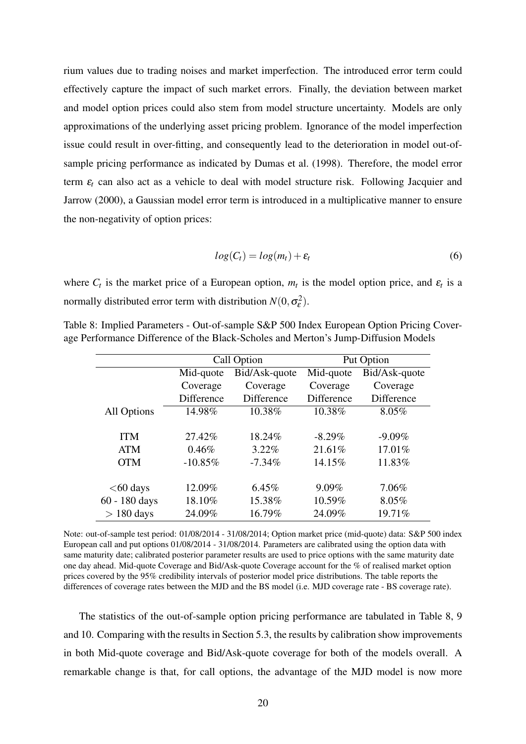rium values due to trading noises and market imperfection. The introduced error term could effectively capture the impact of such market errors. Finally, the deviation between market and model option prices could also stem from model structure uncertainty. Models are only approximations of the underlying asset pricing problem. Ignorance of the model imperfection issue could result in over-fitting, and consequently lead to the deterioration in model out-ofsample pricing performance as indicated by Dumas et al. (1998). Therefore, the model error term  $\varepsilon_t$  can also act as a vehicle to deal with model structure risk. Following Jacquier and Jarrow (2000), a Gaussian model error term is introduced in a multiplicative manner to ensure the non-negativity of option prices:

$$
log(C_t) = log(m_t) + \varepsilon_t \tag{6}
$$

where  $C_t$  is the market price of a European option,  $m_t$  is the model option price, and  $\varepsilon_t$  is a normally distributed error term with distribution  $N(0, \sigma_{\varepsilon}^2)$ .

|               |            | Call Option   | Put Option |               |  |
|---------------|------------|---------------|------------|---------------|--|
|               | Mid-quote  | Bid/Ask-quote | Mid-quote  | Bid/Ask-quote |  |
|               | Coverage   | Coverage      | Coverage   | Coverage      |  |
|               | Difference | Difference    | Difference | Difference    |  |
| All Options   | 14.98%     | 10.38%        | 10.38%     | 8.05%         |  |
|               |            |               |            |               |  |
| <b>ITM</b>    | 27.42%     | 18.24%        | $-8.29\%$  | $-9.09\%$     |  |
| <b>ATM</b>    | 0.46%      | $3.22\%$      | 21.61%     | 17.01%        |  |
| <b>OTM</b>    | $-10.85%$  | $-7.34%$      | 14.15%     | 11.83%        |  |
|               |            |               |            |               |  |
| $<60$ days    | 12.09%     | 6.45%         | $9.09\%$   | 7.06%         |  |
| 60 - 180 days | 18.10%     | 15.38%        | 10.59%     | 8.05%         |  |
| $> 180$ days  | 24.09%     | 16.79%        | 24.09%     | 19.71%        |  |

Table 8: Implied Parameters - Out-of-sample S&P 500 Index European Option Pricing Coverage Performance Difference of the Black-Scholes and Merton's Jump-Diffusion Models

Note: out-of-sample test period: 01/08/2014 - 31/08/2014; Option market price (mid-quote) data: S&P 500 index European call and put options 01/08/2014 - 31/08/2014. Parameters are calibrated using the option data with same maturity date; calibrated posterior parameter results are used to price options with the same maturity date one day ahead. Mid-quote Coverage and Bid/Ask-quote Coverage account for the % of realised market option prices covered by the 95% credibility intervals of posterior model price distributions. The table reports the differences of coverage rates between the MJD and the BS model (i.e. MJD coverage rate - BS coverage rate).

The statistics of the out-of-sample option pricing performance are tabulated in Table 8, 9 and 10. Comparing with the results in Section 5.3, the results by calibration show improvements in both Mid-quote coverage and Bid/Ask-quote coverage for both of the models overall. A remarkable change is that, for call options, the advantage of the MJD model is now more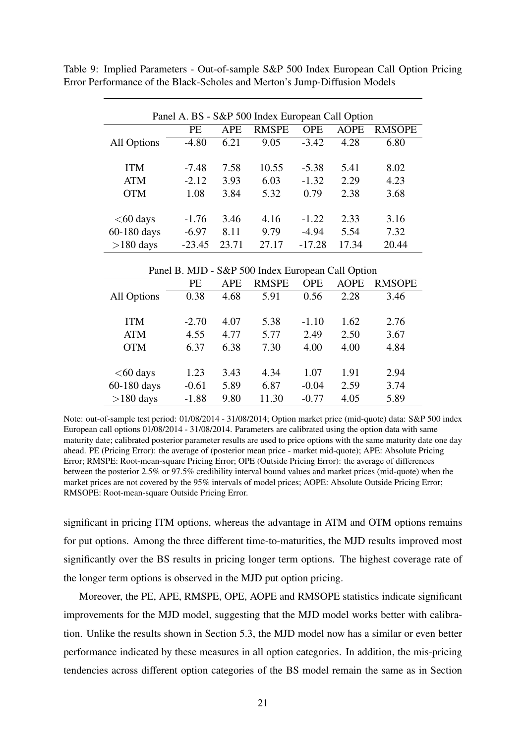|             | <b>PE</b> | <b>APE</b> | <b>RMSPE</b> | <b>OPE</b> | <b>AOPE</b> | <b>RMSOPE</b> |
|-------------|-----------|------------|--------------|------------|-------------|---------------|
| All Options | $-4.80$   | 6.21       | 9.05         | $-3.42$    | 4.28        | 6.80          |
| <b>ITM</b>  | $-7.48$   | 7.58       | 10.55        | $-5.38$    | 5.41        | 8.02          |
| <b>ATM</b>  | $-2.12$   | 3.93       | 6.03         | $-1.32$    | 2.29        | 4.23          |
| <b>OTM</b>  | 1.08      | 3.84       | 5.32         | 0.79       | 2.38        | 3.68          |
| $<60$ days  | $-1.76$   | 3.46       | 4.16         | $-1.22$    | 2.33        | 3.16          |
| 60-180 days | $-6.97$   | 8.11       | 9.79         | -4.94      | 5.54        | 7.32          |
| $>180$ days | $-23.45$  | 23.71      | 27.17        | $-17.28$   | 17.34       | 20.44         |

Table 9: Implied Parameters - Out-of-sample S&P 500 Index European Call Option Pricing Error Performance of the Black-Scholes and Merton's Jump-Diffusion Models

| Panel B. MJD - S&P 500 Index European Call Option |         |            |              |            |             |               |  |
|---------------------------------------------------|---------|------------|--------------|------------|-------------|---------------|--|
|                                                   | PE      | <b>APE</b> | <b>RMSPE</b> | <b>OPE</b> | <b>AOPE</b> | <b>RMSOPE</b> |  |
| All Options                                       | 0.38    | 4.68       | 5.91         | 0.56       | 2.28        | 3.46          |  |
|                                                   |         |            |              |            |             |               |  |
| ITM                                               | $-2.70$ | 4.07       | 5.38         | $-1.10$    | 1.62        | 2.76          |  |
| <b>ATM</b>                                        | 4.55    | 4.77       | 5.77         | 2.49       | 2.50        | 3.67          |  |
| <b>OTM</b>                                        | 6.37    | 6.38       | 7.30         | 4.00       | 4.00        | 4.84          |  |
|                                                   |         |            |              |            |             |               |  |
| $<60$ days                                        | 1.23    | 3.43       | 4.34         | 1.07       | 1.91        | 2.94          |  |
| 60-180 days                                       | $-0.61$ | 5.89       | 6.87         | $-0.04$    | 2.59        | 3.74          |  |
| $>180$ days                                       | $-1.88$ | 9.80       | 11.30        | $-0.77$    | 4.05        | 5.89          |  |

Note: out-of-sample test period: 01/08/2014 - 31/08/2014; Option market price (mid-quote) data: S&P 500 index European call options 01/08/2014 - 31/08/2014. Parameters are calibrated using the option data with same maturity date; calibrated posterior parameter results are used to price options with the same maturity date one day ahead. PE (Pricing Error): the average of (posterior mean price - market mid-quote); APE: Absolute Pricing Error; RMSPE: Root-mean-square Pricing Error; OPE (Outside Pricing Error): the average of differences between the posterior 2.5% or 97.5% credibility interval bound values and market prices (mid-quote) when the market prices are not covered by the 95% intervals of model prices; AOPE: Absolute Outside Pricing Error; RMSOPE: Root-mean-square Outside Pricing Error.

significant in pricing ITM options, whereas the advantage in ATM and OTM options remains for put options. Among the three different time-to-maturities, the MJD results improved most significantly over the BS results in pricing longer term options. The highest coverage rate of the longer term options is observed in the MJD put option pricing.

Moreover, the PE, APE, RMSPE, OPE, AOPE and RMSOPE statistics indicate significant improvements for the MJD model, suggesting that the MJD model works better with calibration. Unlike the results shown in Section 5.3, the MJD model now has a similar or even better performance indicated by these measures in all option categories. In addition, the mis-pricing tendencies across different option categories of the BS model remain the same as in Section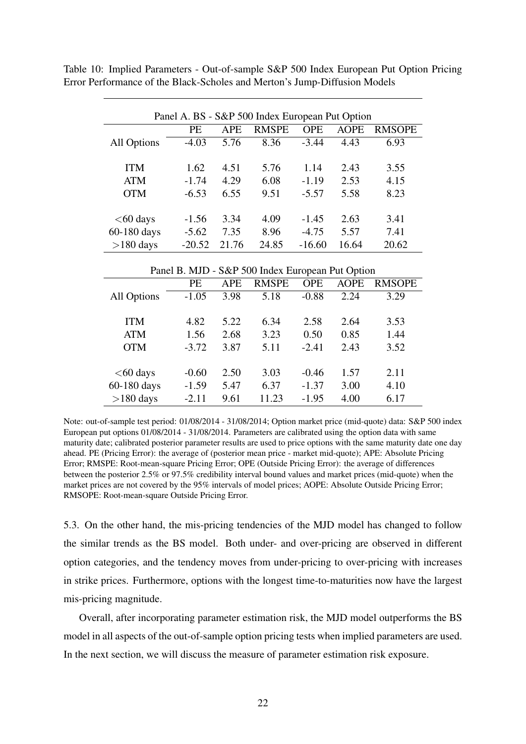|             | <b>PE</b> | <b>APE</b> | <b>RMSPE</b> | <b>OPE</b> | <b>AOPE</b> | <b>RMSOPE</b> |
|-------------|-----------|------------|--------------|------------|-------------|---------------|
| All Options | $-4.03$   | 5.76       | 8.36         | $-3.44$    | 4.43        | 6.93          |
| <b>ITM</b>  | 1.62      | 4.51       | 5.76         | 1.14       | 2.43        | 3.55          |
| <b>ATM</b>  | $-1.74$   | 4.29       | 6.08         | $-1.19$    | 2.53        | 4.15          |
| <b>OTM</b>  | $-6.53$   | 6.55       | 9.51         | $-5.57$    | 5.58        | 8.23          |
| $<60$ days  | $-1.56$   | 3.34       | 4.09         | $-1.45$    | 2.63        | 3.41          |
| 60-180 days | $-5.62$   | 7.35       | 8.96         | $-4.75$    | 5.57        | 7.41          |
| $>180$ days | $-20.52$  | 21.76      | 24.85        | $-16.60$   | 16.64       | 20.62         |

Table 10: Implied Parameters - Out-of-sample S&P 500 Index European Put Option Pricing Error Performance of the Black-Scholes and Merton's Jump-Diffusion Models

| Panel B. MJD - S&P 500 Index European Put Option |         |      |              |            |             |               |  |
|--------------------------------------------------|---------|------|--------------|------------|-------------|---------------|--|
|                                                  | PE      | APE  | <b>RMSPE</b> | <b>OPE</b> | <b>AOPE</b> | <b>RMSOPE</b> |  |
| All Options                                      | $-1.05$ | 3.98 | 5.18         | $-0.88$    | 2.24        | 3.29          |  |
| <b>ITM</b>                                       | 4.82    | 5.22 | 6.34         | 2.58       | 2.64        | 3.53          |  |
|                                                  |         |      |              |            |             |               |  |
| <b>ATM</b>                                       | 1.56    | 2.68 | 3.23         | 0.50       | 0.85        | 1.44          |  |
| <b>OTM</b>                                       | $-3.72$ | 3.87 | 5.11         | $-2.41$    | 2.43        | 3.52          |  |
|                                                  |         |      |              |            |             |               |  |
| $<60$ days                                       | $-0.60$ | 2.50 | 3.03         | $-0.46$    | 1.57        | 2.11          |  |
| 60-180 days                                      | $-1.59$ | 5.47 | 6.37         | $-1.37$    | 3.00        | 4.10          |  |
| $>180$ days                                      | $-2.11$ | 9.61 | 11.23        | $-1.95$    | 4.00        | 6.17          |  |

Note: out-of-sample test period: 01/08/2014 - 31/08/2014; Option market price (mid-quote) data: S&P 500 index European put options 01/08/2014 - 31/08/2014. Parameters are calibrated using the option data with same maturity date; calibrated posterior parameter results are used to price options with the same maturity date one day ahead. PE (Pricing Error): the average of (posterior mean price - market mid-quote); APE: Absolute Pricing Error; RMSPE: Root-mean-square Pricing Error; OPE (Outside Pricing Error): the average of differences between the posterior 2.5% or 97.5% credibility interval bound values and market prices (mid-quote) when the market prices are not covered by the 95% intervals of model prices; AOPE: Absolute Outside Pricing Error; RMSOPE: Root-mean-square Outside Pricing Error.

5.3. On the other hand, the mis-pricing tendencies of the MJD model has changed to follow the similar trends as the BS model. Both under- and over-pricing are observed in different option categories, and the tendency moves from under-pricing to over-pricing with increases in strike prices. Furthermore, options with the longest time-to-maturities now have the largest mis-pricing magnitude.

Overall, after incorporating parameter estimation risk, the MJD model outperforms the BS model in all aspects of the out-of-sample option pricing tests when implied parameters are used. In the next section, we will discuss the measure of parameter estimation risk exposure.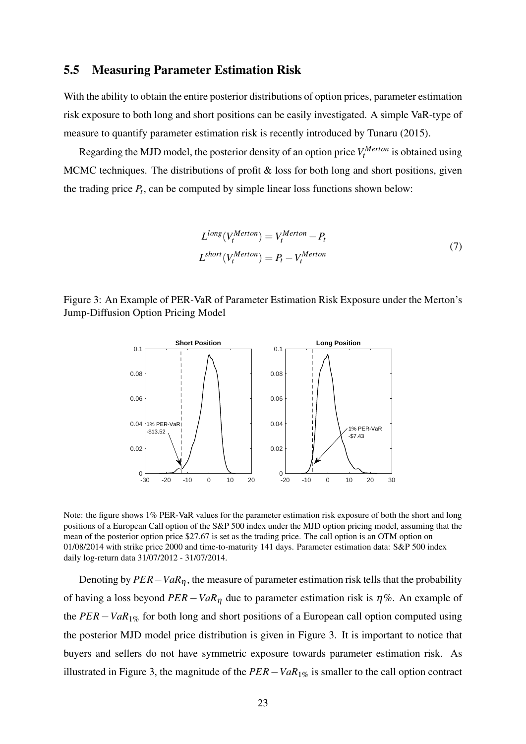### 5.5 Measuring Parameter Estimation Risk

With the ability to obtain the entire posterior distributions of option prices, parameter estimation risk exposure to both long and short positions can be easily investigated. A simple VaR-type of measure to quantify parameter estimation risk is recently introduced by Tunaru (2015).

Regarding the MJD model, the posterior density of an option price  $V_t^{Merton}$  is obtained using MCMC techniques. The distributions of profit & loss for both long and short positions, given the trading price  $P_t$ , can be computed by simple linear loss functions shown below:

$$
L^{long}(V_t^{Merton}) = V_t^{Merton} - P_t
$$
  
\n
$$
L^{short}(V_t^{Merton}) = P_t - V_t^{Merton}
$$
\n(7)

Figure 3: An Example of PER-VaR of Parameter Estimation Risk Exposure under the Merton's Jump-Diffusion Option Pricing Model



Note: the figure shows 1% PER-VaR values for the parameter estimation risk exposure of both the short and long positions of a European Call option of the S&P 500 index under the MJD option pricing model, assuming that the mean of the posterior option price \$27.67 is set as the trading price. The call option is an OTM option on 01/08/2014 with strike price 2000 and time-to-maturity 141 days. Parameter estimation data: S&P 500 index daily log-return data 31/07/2012 - 31/07/2014.

Denoting by *PER*−*VaR*η, the measure of parameter estimation risk tells that the probability of having a loss beyond  $PER-VaR<sub>n</sub>$  due to parameter estimation risk is  $\eta$ %. An example of the *PER*−*VaR*1% for both long and short positions of a European call option computed using the posterior MJD model price distribution is given in Figure 3. It is important to notice that buyers and sellers do not have symmetric exposure towards parameter estimation risk. As illustrated in Figure 3, the magnitude of the *PER*−*VaR*1% is smaller to the call option contract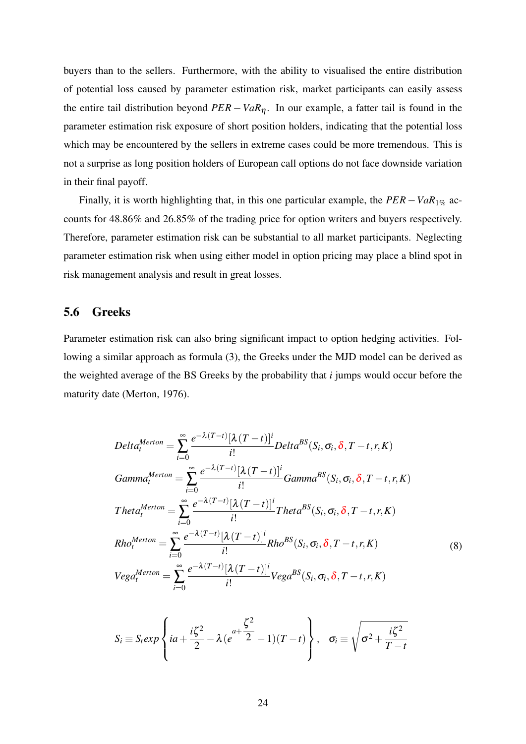buyers than to the sellers. Furthermore, with the ability to visualised the entire distribution of potential loss caused by parameter estimation risk, market participants can easily assess the entire tail distribution beyond  $PER - VaR<sub>n</sub>$ . In our example, a fatter tail is found in the parameter estimation risk exposure of short position holders, indicating that the potential loss which may be encountered by the sellers in extreme cases could be more tremendous. This is not a surprise as long position holders of European call options do not face downside variation in their final payoff.

Finally, it is worth highlighting that, in this one particular example, the *PER*−*VaR*1% accounts for 48.86% and 26.85% of the trading price for option writers and buyers respectively. Therefore, parameter estimation risk can be substantial to all market participants. Neglecting parameter estimation risk when using either model in option pricing may place a blind spot in risk management analysis and result in great losses.

### 5.6 Greeks

Parameter estimation risk can also bring significant impact to option hedging activities. Following a similar approach as formula (3), the Greeks under the MJD model can be derived as the weighted average of the BS Greeks by the probability that *i* jumps would occur before the maturity date (Merton, 1976).

$$
Delta_{t}^{Merton} = \sum_{i=0}^{\infty} \frac{e^{-\lambda (T-t)} [\lambda (T-t)]^{i}}{i!} Delta^{BS}(S_{i}, \sigma_{i}, \delta, T-t, r, K)
$$
  
\n
$$
Gamma_{t}^{Merton} = \sum_{i=0}^{\infty} \frac{e^{-\lambda (T-t)} [\lambda (T-t)]^{i}}{i!} Gamma^{BS}(S_{i}, \sigma_{i}, \delta, T-t, r, K)
$$
  
\n
$$
Theta_{t}^{Merton} = \sum_{i=0}^{\infty} \frac{e^{-\lambda (T-t)} [\lambda (T-t)]^{i}}{i!} The ta^{BS}(S_{i}, \sigma_{i}, \delta, T-t, r, K)
$$
  
\n
$$
Rho_{t}^{Merton} = \sum_{i=0}^{\infty} \frac{e^{-\lambda (T-t)} [\lambda (T-t)]^{i}}{i!} Rho^{BS}(S_{i}, \sigma_{i}, \delta, T-t, r, K)
$$
  
\n
$$
Vega_{t}^{Merton} = \sum_{i=0}^{\infty} \frac{e^{-\lambda (T-t)} [\lambda (T-t)]^{i}}{i!} Vega^{BS}(S_{i}, \sigma_{i}, \delta, T-t, r, K)
$$
  
\n(8)

$$
S_i \equiv S_t exp\left\{ia + \frac{i\zeta^2}{2} - \lambda(e^{a + \frac{\zeta^2}{2}} - 1)(T - t)\right\}, \quad \sigma_i \equiv \sqrt{\sigma^2 + \frac{i\zeta^2}{T - t}}
$$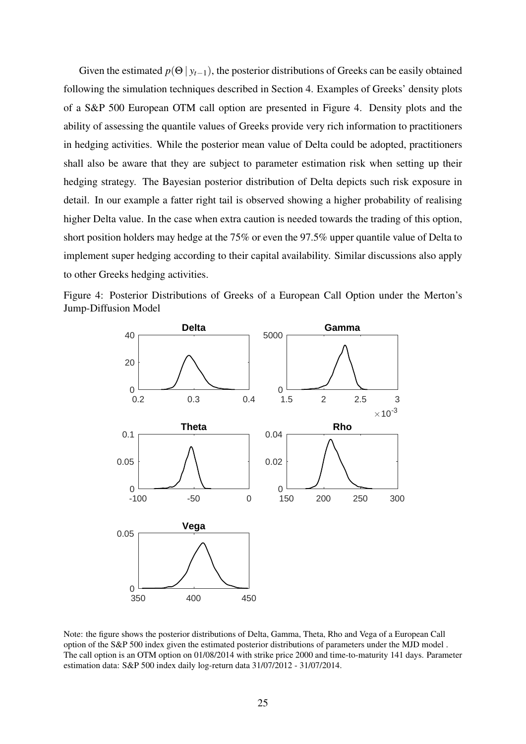Given the estimated  $p(\Theta | y_{t-1})$ , the posterior distributions of Greeks can be easily obtained following the simulation techniques described in Section 4. Examples of Greeks' density plots of a S&P 500 European OTM call option are presented in Figure 4. Density plots and the ability of assessing the quantile values of Greeks provide very rich information to practitioners in hedging activities. While the posterior mean value of Delta could be adopted, practitioners shall also be aware that they are subject to parameter estimation risk when setting up their hedging strategy. The Bayesian posterior distribution of Delta depicts such risk exposure in detail. In our example a fatter right tail is observed showing a higher probability of realising higher Delta value. In the case when extra caution is needed towards the trading of this option, short position holders may hedge at the 75% or even the 97.5% upper quantile value of Delta to implement super hedging according to their capital availability. Similar discussions also apply to other Greeks hedging activities.





Note: the figure shows the posterior distributions of Delta, Gamma, Theta, Rho and Vega of a European Call option of the S&P 500 index given the estimated posterior distributions of parameters under the MJD model . The call option is an OTM option on 01/08/2014 with strike price 2000 and time-to-maturity 141 days. Parameter estimation data: S&P 500 index daily log-return data 31/07/2012 - 31/07/2014.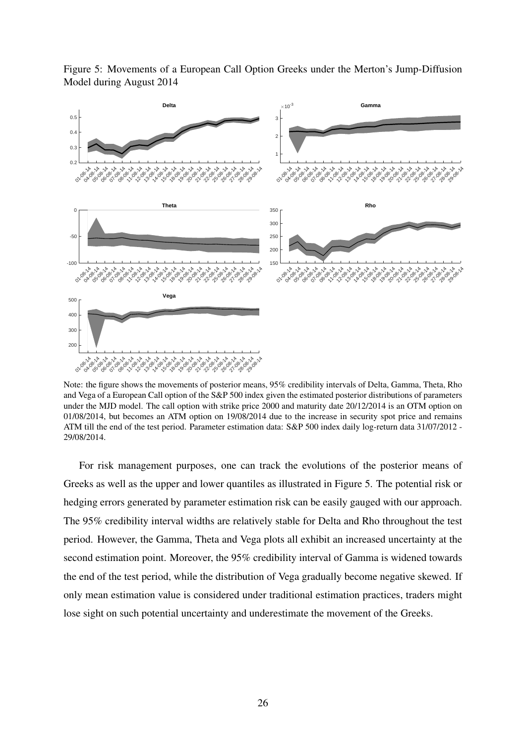

Figure 5: Movements of a European Call Option Greeks under the Merton's Jump-Diffusion Model during August 2014

Note: the figure shows the movements of posterior means, 95% credibility intervals of Delta, Gamma, Theta, Rho and Vega of a European Call option of the S&P 500 index given the estimated posterior distributions of parameters under the MJD model. The call option with strike price 2000 and maturity date 20/12/2014 is an OTM option on 01/08/2014, but becomes an ATM option on 19/08/2014 due to the increase in security spot price and remains ATM till the end of the test period. Parameter estimation data: S&P 500 index daily log-return data 31/07/2012 - 29/08/2014.

For risk management purposes, one can track the evolutions of the posterior means of Greeks as well as the upper and lower quantiles as illustrated in Figure 5. The potential risk or hedging errors generated by parameter estimation risk can be easily gauged with our approach. The 95% credibility interval widths are relatively stable for Delta and Rho throughout the test period. However, the Gamma, Theta and Vega plots all exhibit an increased uncertainty at the second estimation point. Moreover, the 95% credibility interval of Gamma is widened towards the end of the test period, while the distribution of Vega gradually become negative skewed. If only mean estimation value is considered under traditional estimation practices, traders might lose sight on such potential uncertainty and underestimate the movement of the Greeks.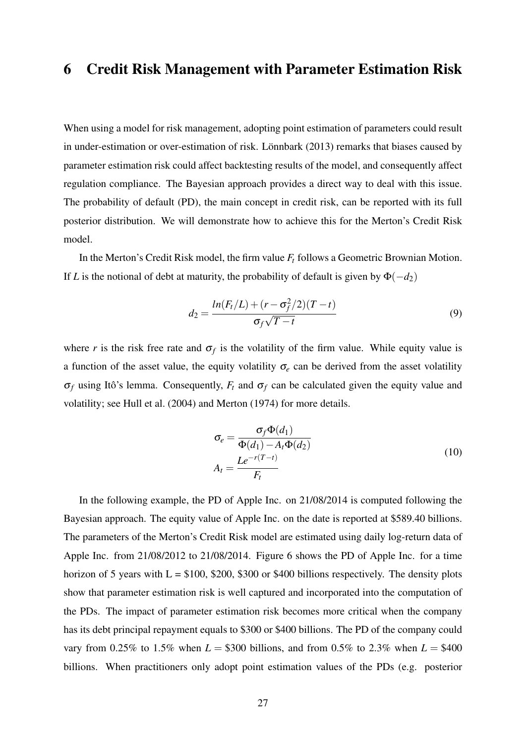### 6 Credit Risk Management with Parameter Estimation Risk

When using a model for risk management, adopting point estimation of parameters could result in under-estimation or over-estimation of risk. Lönnbark  $(2013)$  remarks that biases caused by parameter estimation risk could affect backtesting results of the model, and consequently affect regulation compliance. The Bayesian approach provides a direct way to deal with this issue. The probability of default (PD), the main concept in credit risk, can be reported with its full posterior distribution. We will demonstrate how to achieve this for the Merton's Credit Risk model.

In the Merton's Credit Risk model, the firm value *F<sup>t</sup>* follows a Geometric Brownian Motion. If *L* is the notional of debt at maturity, the probability of default is given by  $\Phi(-d_2)$ 

$$
d_2 = \frac{\ln(F_t/L) + (r - \sigma_f^2/2)(T - t)}{\sigma_f \sqrt{T - t}}
$$
\n(9)

where *r* is the risk free rate and  $\sigma_f$  is the volatility of the firm value. While equity value is a function of the asset value, the equity volatility  $\sigma_e$  can be derived from the asset volatility  $\sigma_f$  using Itô's lemma. Consequently,  $F_t$  and  $\sigma_f$  can be calculated given the equity value and volatility; see Hull et al. (2004) and Merton (1974) for more details.

$$
\sigma_e = \frac{\sigma_f \Phi(d_1)}{\Phi(d_1) - A_t \Phi(d_2)}
$$
  
\n
$$
A_t = \frac{Le^{-r(T-t)}}{F_t}
$$
\n(10)

In the following example, the PD of Apple Inc. on 21/08/2014 is computed following the Bayesian approach. The equity value of Apple Inc. on the date is reported at \$589.40 billions. The parameters of the Merton's Credit Risk model are estimated using daily log-return data of Apple Inc. from 21/08/2012 to 21/08/2014. Figure 6 shows the PD of Apple Inc. for a time horizon of 5 years with  $L = $100, $200, $300$  or \$400 billions respectively. The density plots show that parameter estimation risk is well captured and incorporated into the computation of the PDs. The impact of parameter estimation risk becomes more critical when the company has its debt principal repayment equals to \$300 or \$400 billions. The PD of the company could vary from 0.25% to 1.5% when  $L = $300$  billions, and from 0.5% to 2.3% when  $L = $400$ billions. When practitioners only adopt point estimation values of the PDs (e.g. posterior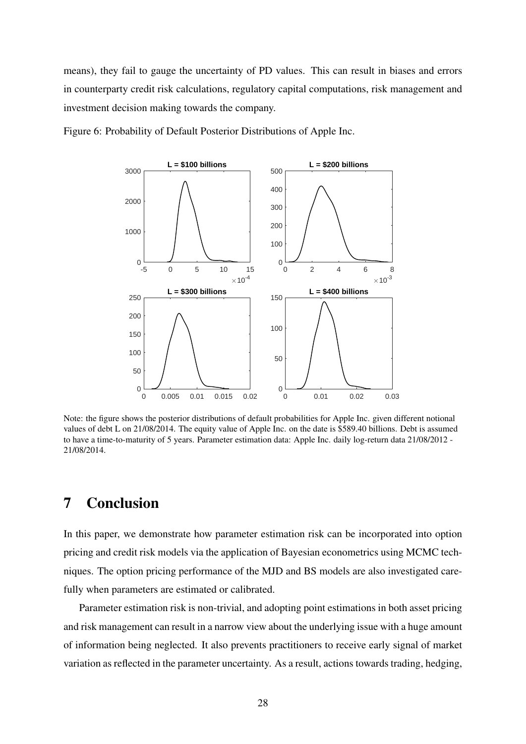means), they fail to gauge the uncertainty of PD values. This can result in biases and errors in counterparty credit risk calculations, regulatory capital computations, risk management and investment decision making towards the company.



Figure 6: Probability of Default Posterior Distributions of Apple Inc.

Note: the figure shows the posterior distributions of default probabilities for Apple Inc. given different notional values of debt L on 21/08/2014. The equity value of Apple Inc. on the date is \$589.40 billions. Debt is assumed to have a time-to-maturity of 5 years. Parameter estimation data: Apple Inc. daily log-return data 21/08/2012 - 21/08/2014.

# 7 Conclusion

In this paper, we demonstrate how parameter estimation risk can be incorporated into option pricing and credit risk models via the application of Bayesian econometrics using MCMC techniques. The option pricing performance of the MJD and BS models are also investigated carefully when parameters are estimated or calibrated.

Parameter estimation risk is non-trivial, and adopting point estimations in both asset pricing and risk management can result in a narrow view about the underlying issue with a huge amount of information being neglected. It also prevents practitioners to receive early signal of market variation as reflected in the parameter uncertainty. As a result, actions towards trading, hedging,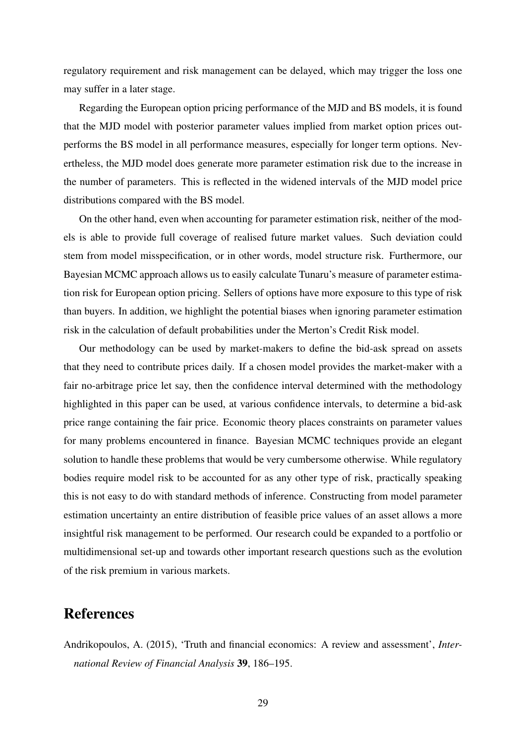regulatory requirement and risk management can be delayed, which may trigger the loss one may suffer in a later stage.

Regarding the European option pricing performance of the MJD and BS models, it is found that the MJD model with posterior parameter values implied from market option prices outperforms the BS model in all performance measures, especially for longer term options. Nevertheless, the MJD model does generate more parameter estimation risk due to the increase in the number of parameters. This is reflected in the widened intervals of the MJD model price distributions compared with the BS model.

On the other hand, even when accounting for parameter estimation risk, neither of the models is able to provide full coverage of realised future market values. Such deviation could stem from model misspecification, or in other words, model structure risk. Furthermore, our Bayesian MCMC approach allows us to easily calculate Tunaru's measure of parameter estimation risk for European option pricing. Sellers of options have more exposure to this type of risk than buyers. In addition, we highlight the potential biases when ignoring parameter estimation risk in the calculation of default probabilities under the Merton's Credit Risk model.

Our methodology can be used by market-makers to define the bid-ask spread on assets that they need to contribute prices daily. If a chosen model provides the market-maker with a fair no-arbitrage price let say, then the confidence interval determined with the methodology highlighted in this paper can be used, at various confidence intervals, to determine a bid-ask price range containing the fair price. Economic theory places constraints on parameter values for many problems encountered in finance. Bayesian MCMC techniques provide an elegant solution to handle these problems that would be very cumbersome otherwise. While regulatory bodies require model risk to be accounted for as any other type of risk, practically speaking this is not easy to do with standard methods of inference. Constructing from model parameter estimation uncertainty an entire distribution of feasible price values of an asset allows a more insightful risk management to be performed. Our research could be expanded to a portfolio or multidimensional set-up and towards other important research questions such as the evolution of the risk premium in various markets.

### References

Andrikopoulos, A. (2015), 'Truth and financial economics: A review and assessment', *International Review of Financial Analysis* 39, 186–195.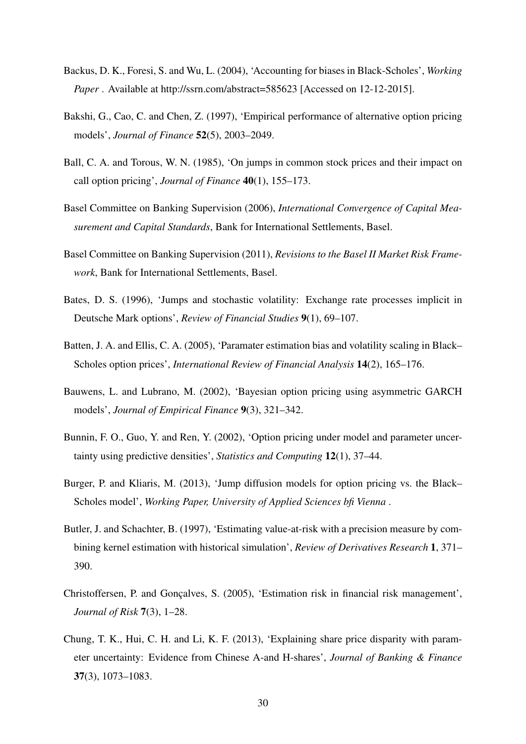- Backus, D. K., Foresi, S. and Wu, L. (2004), 'Accounting for biases in Black-Scholes', *Working Paper* . Available at http://ssrn.com/abstract=585623 [Accessed on 12-12-2015].
- Bakshi, G., Cao, C. and Chen, Z. (1997), 'Empirical performance of alternative option pricing models', *Journal of Finance* 52(5), 2003–2049.
- Ball, C. A. and Torous, W. N. (1985), 'On jumps in common stock prices and their impact on call option pricing', *Journal of Finance* 40(1), 155–173.
- Basel Committee on Banking Supervision (2006), *International Convergence of Capital Measurement and Capital Standards*, Bank for International Settlements, Basel.
- Basel Committee on Banking Supervision (2011), *Revisions to the Basel II Market Risk Framework*, Bank for International Settlements, Basel.
- Bates, D. S. (1996), 'Jumps and stochastic volatility: Exchange rate processes implicit in Deutsche Mark options', *Review of Financial Studies* 9(1), 69–107.
- Batten, J. A. and Ellis, C. A. (2005), 'Paramater estimation bias and volatility scaling in Black– Scholes option prices', *International Review of Financial Analysis* 14(2), 165–176.
- Bauwens, L. and Lubrano, M. (2002), 'Bayesian option pricing using asymmetric GARCH models', *Journal of Empirical Finance* 9(3), 321–342.
- Bunnin, F. O., Guo, Y. and Ren, Y. (2002), 'Option pricing under model and parameter uncertainty using predictive densities', *Statistics and Computing* 12(1), 37–44.
- Burger, P. and Kliaris, M. (2013), 'Jump diffusion models for option pricing vs. the Black– Scholes model', *Working Paper, University of Applied Sciences bfi Vienna* .
- Butler, J. and Schachter, B. (1997), 'Estimating value-at-risk with a precision measure by combining kernel estimation with historical simulation', *Review of Derivatives Research* 1, 371– 390.
- Christoffersen, P. and Gonçalves, S. (2005), 'Estimation risk in financial risk management', *Journal of Risk* 7(3), 1–28.
- Chung, T. K., Hui, C. H. and Li, K. F. (2013), 'Explaining share price disparity with parameter uncertainty: Evidence from Chinese A-and H-shares', *Journal of Banking & Finance* 37(3), 1073–1083.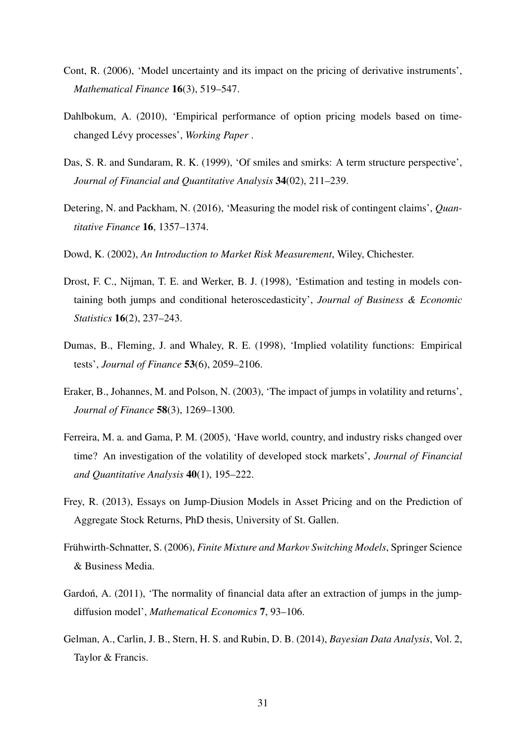- Cont, R. (2006), 'Model uncertainty and its impact on the pricing of derivative instruments', *Mathematical Finance* 16(3), 519–547.
- Dahlbokum, A. (2010), 'Empirical performance of option pricing models based on timechanged Lévy processes', *Working Paper*.
- Das, S. R. and Sundaram, R. K. (1999), 'Of smiles and smirks: A term structure perspective', *Journal of Financial and Quantitative Analysis* 34(02), 211–239.
- Detering, N. and Packham, N. (2016), 'Measuring the model risk of contingent claims', *Quantitative Finance* 16, 1357–1374.
- Dowd, K. (2002), *An Introduction to Market Risk Measurement*, Wiley, Chichester.
- Drost, F. C., Nijman, T. E. and Werker, B. J. (1998), 'Estimation and testing in models containing both jumps and conditional heteroscedasticity', *Journal of Business & Economic Statistics* 16(2), 237–243.
- Dumas, B., Fleming, J. and Whaley, R. E. (1998), 'Implied volatility functions: Empirical tests', *Journal of Finance* 53(6), 2059–2106.
- Eraker, B., Johannes, M. and Polson, N. (2003), 'The impact of jumps in volatility and returns', *Journal of Finance* 58(3), 1269–1300.
- Ferreira, M. a. and Gama, P. M. (2005), 'Have world, country, and industry risks changed over time? An investigation of the volatility of developed stock markets', *Journal of Financial and Quantitative Analysis* 40(1), 195–222.
- Frey, R. (2013), Essays on Jump-Diusion Models in Asset Pricing and on the Prediction of Aggregate Stock Returns, PhD thesis, University of St. Gallen.
- Frühwirth-Schnatter, S. (2006), *Finite Mixture and Markov Switching Models*, Springer Science & Business Media.
- Gardon, A. (2011), 'The normality of financial data after an extraction of jumps in the jumpdiffusion model', *Mathematical Economics* 7, 93–106.
- Gelman, A., Carlin, J. B., Stern, H. S. and Rubin, D. B. (2014), *Bayesian Data Analysis*, Vol. 2, Taylor & Francis.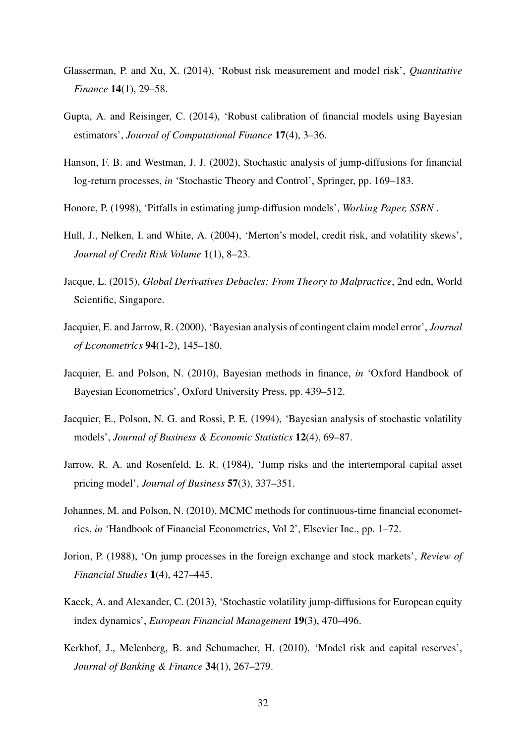- Glasserman, P. and Xu, X. (2014), 'Robust risk measurement and model risk', *Quantitative Finance* 14(1), 29–58.
- Gupta, A. and Reisinger, C. (2014), 'Robust calibration of financial models using Bayesian estimators', *Journal of Computational Finance* 17(4), 3–36.
- Hanson, F. B. and Westman, J. J. (2002), Stochastic analysis of jump-diffusions for financial log-return processes, *in* 'Stochastic Theory and Control', Springer, pp. 169–183.
- Honore, P. (1998), 'Pitfalls in estimating jump-diffusion models', *Working Paper, SSRN* .
- Hull, J., Nelken, I. and White, A. (2004), 'Merton's model, credit risk, and volatility skews', *Journal of Credit Risk Volume* 1(1), 8–23.
- Jacque, L. (2015), *Global Derivatives Debacles: From Theory to Malpractice*, 2nd edn, World Scientific, Singapore.
- Jacquier, E. and Jarrow, R. (2000), 'Bayesian analysis of contingent claim model error', *Journal of Econometrics* 94(1-2), 145–180.
- Jacquier, E. and Polson, N. (2010), Bayesian methods in finance, *in* 'Oxford Handbook of Bayesian Econometrics', Oxford University Press, pp. 439–512.
- Jacquier, E., Polson, N. G. and Rossi, P. E. (1994), 'Bayesian analysis of stochastic volatility models', *Journal of Business & Economic Statistics* 12(4), 69–87.
- Jarrow, R. A. and Rosenfeld, E. R. (1984), 'Jump risks and the intertemporal capital asset pricing model', *Journal of Business* 57(3), 337–351.
- Johannes, M. and Polson, N. (2010), MCMC methods for continuous-time financial econometrics, *in* 'Handbook of Financial Econometrics, Vol 2', Elsevier Inc., pp. 1–72.
- Jorion, P. (1988), 'On jump processes in the foreign exchange and stock markets', *Review of Financial Studies* 1(4), 427–445.
- Kaeck, A. and Alexander, C. (2013), 'Stochastic volatility jump-diffusions for European equity index dynamics', *European Financial Management* 19(3), 470–496.
- Kerkhof, J., Melenberg, B. and Schumacher, H. (2010), 'Model risk and capital reserves', *Journal of Banking & Finance* 34(1), 267–279.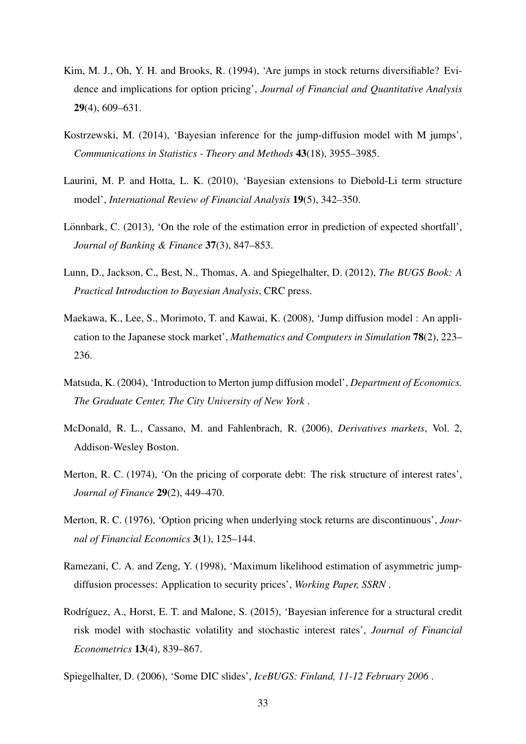- Kim, M. J., Oh, Y. H. and Brooks, R. (1994), 'Are jumps in stock returns diversifiable? Evidence and implications for option pricing', *Journal of Financial and Quantitative Analysis* 29(4), 609–631.
- Kostrzewski, M. (2014), 'Bayesian inference for the jump-diffusion model with M jumps', *Communications in Statistics - Theory and Methods* 43(18), 3955–3985.
- Laurini, M. P. and Hotta, L. K. (2010), 'Bayesian extensions to Diebold-Li term structure model', *International Review of Financial Analysis* 19(5), 342–350.
- Lönnbark, C.  $(2013)$ , 'On the role of the estimation error in prediction of expected shortfall', *Journal of Banking & Finance* 37(3), 847–853.
- Lunn, D., Jackson, C., Best, N., Thomas, A. and Spiegelhalter, D. (2012), *The BUGS Book: A Practical Introduction to Bayesian Analysis*, CRC press.
- Maekawa, K., Lee, S., Morimoto, T. and Kawai, K. (2008), 'Jump diffusion model : An application to the Japanese stock market', *Mathematics and Computers in Simulation* 78(2), 223– 236.
- Matsuda, K. (2004), 'Introduction to Merton jump diffusion model', *Department of Economics. The Graduate Center, The City University of New York* .
- McDonald, R. L., Cassano, M. and Fahlenbrach, R. (2006), *Derivatives markets*, Vol. 2, Addison-Wesley Boston.
- Merton, R. C. (1974), 'On the pricing of corporate debt: The risk structure of interest rates', *Journal of Finance* 29(2), 449–470.
- Merton, R. C. (1976), 'Option pricing when underlying stock returns are discontinuous', *Journal of Financial Economics* 3(1), 125–144.
- Ramezani, C. A. and Zeng, Y. (1998), 'Maximum likelihood estimation of asymmetric jumpdiffusion processes: Application to security prices', *Working Paper, SSRN* .
- Rodríguez, A., Horst, E. T. and Malone, S. (2015), 'Bayesian inference for a structural credit risk model with stochastic volatility and stochastic interest rates', *Journal of Financial Econometrics* 13(4), 839–867.
- Spiegelhalter, D. (2006), 'Some DIC slides', *IceBUGS: Finland, 11-12 February 2006* .